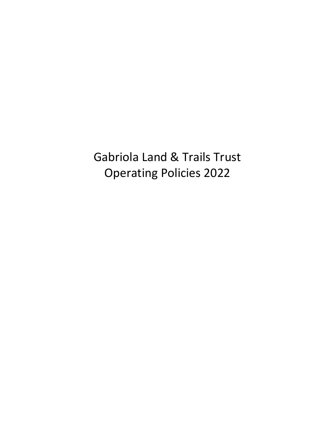Gabriola Land & Trails Trust Operating Policies 2022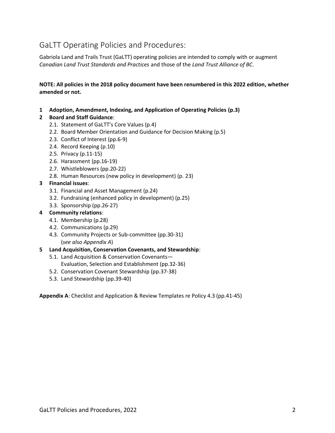# GaLTT Operating Policies and Procedures:

Gabriola Land and Trails Trust (GaLTT) operating policies are intended to comply with or augment *Canadian Land Trust Standards and Practices* and those of the *Land Trust Alliance of BC*.

**NOTE: All policies in the 2018 policy document have been renumbered in this 2022 edition, whether amended or not.**

**1 Adoption, Amendment, Indexing, and Application of Operating Policies (p.3)**

### **2 Board and Staff Guidance**:

- 2.1. Statement of GaLTT's Core Values (p.4)
- 2.2. Board Member Orientation and Guidance for Decision Making (p.5)
- 2.3. Conflict of Interest (pp.6-9)
- 2.4. Record Keeping (p.10)
- 2.5. Privacy (p.11-15)
- 2.6. Harassment (pp.16-19)
- 2.7. Whistleblowers (pp.20-22)
- 2.8. Human Resources (new policy in development) (p. 23)

#### **3 Financial issues**:

- 3.1. Financial and Asset Management (p.24)
- 3.2. Fundraising (enhanced policy in development) (p.25)
- 3.3. Sponsorship (pp.26-27)

### **4 Community relations**:

- 4.1. Membership (p.28)
- 4.2. Communications (p.29)
- 4.3. Community Projects or Sub-committee (pp.30-31) (*see also Appendix A*)

#### **5 Land Acquisition, Conservation Covenants, and Stewardship**:

- 5.1. Land Acquisition & Conservation Covenants— Evaluation, Selection and Establishment (pp.32-36)
- 5.2. Conservation Covenant Stewardship (pp.37-38)
- 5.3. Land Stewardship (pp.39-40)

**Appendix A**: Checklist and Application & Review Templates re Policy 4.3 (pp.41-45)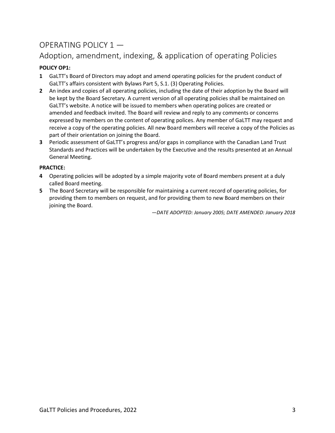# OPERATING POLICY 1 —

# Adoption, amendment, indexing, & application of operating Policies

# **POLICY OP1:**

- **1** GaLTT's Board of Directors may adopt and amend operating policies for the prudent conduct of GaLTT's affairs consistent with Bylaws Part 5, S.1. (3) Operating Policies.
- **2** An index and copies of all operating policies, including the date of their adoption by the Board will be kept by the Board Secretary. A current version of all operating policies shall be maintained on GaLTT's website. A notice will be issued to members when operating polices are created or amended and feedback invited. The Board will review and reply to any comments or concerns expressed by members on the content of operating polices. Any member of GaLTT may request and receive a copy of the operating policies. All new Board members will receive a copy of the Policies as part of their orientation on joining the Board.
- **3** Periodic assessment of GaLTT's progress and/or gaps in compliance with the Canadian Land Trust Standards and Practices will be undertaken by the Executive and the results presented at an Annual General Meeting.

# **PRACTICE:**

- **4** Operating policies will be adopted by a simple majority vote of Board members present at a duly called Board meeting.
- **5** The Board Secretary will be responsible for maintaining a current record of operating policies, for providing them to members on request, and for providing them to new Board members on their joining the Board.

*—DATE ADOPTED: January 2005; DATE AMENDED: January 2018*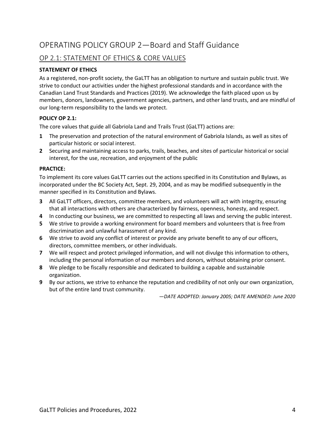# OP 2.1: STATEMENT OF ETHICS & CORE VALUES

## **STATEMENT OF ETHICS**

As a registered, non-profit society, the GaLTT has an obligation to nurture and sustain public trust. We strive to conduct our activities under the highest professional standards and in accordance with the Canadian Land Trust Standards and Practices (2019). We acknowledge the faith placed upon us by members, donors, landowners, government agencies, partners, and other land trusts, and are mindful of our long-term responsibility to the lands we protect.

### **POLICY OP 2.1:**

The core values that guide all Gabriola Land and Trails Trust (GaLTT) actions are:

- **1** The preservation and protection of the natural environment of Gabriola Islands, as well as sites of particular historic or social interest.
- **2** Securing and maintaining access to parks, trails, beaches, and sites of particular historical or social interest, for the use, recreation, and enjoyment of the public

#### **PRACTICE:**

To implement its core values GaLTT carries out the actions specified in its Constitution and Bylaws, as incorporated under the BC Society Act, Sept. 29, 2004, and as may be modified subsequently in the manner specified in its Constitution and Bylaws.

- **3** All GaLTT officers, directors, committee members, and volunteers will act with integrity, ensuring that all interactions with others are characterized by fairness, openness, honesty, and respect.
- **4** In conducting our business, we are committed to respecting all laws and serving the public interest.
- **5** We strive to provide a working environment for board members and volunteers that is free from discrimination and unlawful harassment of any kind.
- **6** We strive to avoid any conflict of interest or provide any private benefit to any of our officers, directors, committee members, or other individuals.
- **7** We will respect and protect privileged information, and will not divulge this information to others, including the personal information of our members and donors, without obtaining prior consent.
- **8** We pledge to be fiscally responsible and dedicated to building a capable and sustainable organization.
- **9** By our actions, we strive to enhance the reputation and credibility of not only our own organization, but of the entire land trust community.

*—DATE ADOPTED: January 2005; DATE AMENDED: June 2020*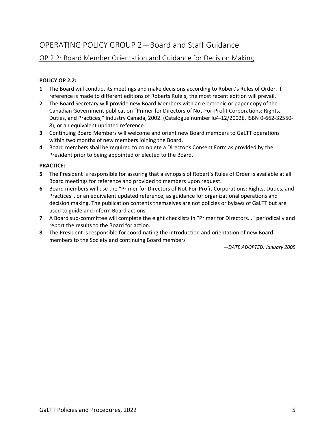# OP 2.2: Board Member Orientation and Guidance for Decision Making

### **POLICY OP 2.2:**

- **1** The Board will conduct its meetings and make decisions according to Robert's Rules of Order. If reference is made to different editions of Roberts Rule's, the most recent edition will prevail.
- **2** The Board Secretary will provide new Board Members with an electronic or paper copy of the Canadian Government publication "Primer for Directors of Not-For-Profit Corporations: Rights, Duties, and Practices," Industry Canada, 2002. (Catalogue number lu4-12/2002E, ISBN 0-662-32550- 8), or an equivalent updated reference.
- **3** Continuing Board Members will welcome and orient new Board members to GaLTT operations within two months of new members joining the Board.
- **4** Board members shall be required to complete a Director's Consent Form as provided by the President prior to being appointed or elected to the Board.

#### **PRACTICE:**

- **5** The President is responsible for assuring that a synopsis of Robert's Rules of Order is available at all Board meetings for reference and provided to members upon request.
- **6** Board members will use the "Primer for Directors of Not-For-Profit Corporations: Rights, Duties, and Practices", or an equivalent updated reference, as guidance for organizational operations and decision making. The publication contents themselves are not policies or bylaws of GaLTT but are used to guide and inform Board actions.
- **7** A Board sub-committee will complete the eight checklists in "Primer for Directors..." periodically and report the results to the Board for action.
- **8** The President is responsible for coordinating the introduction and orientation of new Board members to the Society and continuing Board members

*—DATE ADOPTED: January 2005*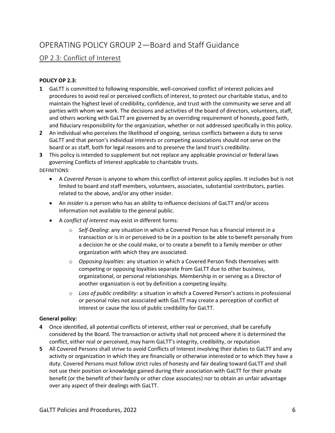# OP 2.3: Conflict of Interest

## **POLICY OP 2.3:**

- **1** GaLTT is committed to following responsible, well-conceived conflict of interest policies and procedures to avoid real or perceived conflicts of interest, to protect our charitable status, and to maintain the highest level of credibility, confidence, and trust with the community we serve and all parties with whom we work. The decisions and activities of the board of directors, volunteers, staff, and others working with GaLTT are governed by an overriding requirement of honesty, good faith, and fiduciary responsibility for the organization, whether or not addressed specifically in this policy.
- **2** An individual who perceives the likelihood of ongoing, serious conflicts between a duty to serve GaLTT and that person's individual interests or competing associations should not serve on the board or as staff, both for legal reasons and to preserve the land trust's credibility.
- **3** This policy is intended to supplement but not replace any applicable provincial or federal laws governing Conflicts of Interest applicable to charitable trusts.

### DEFINITIONS:

- A *Covered Person* is anyone to whom this conflict-of-interest policy applies. It includes but is not limited to board and staff members, volunteers, associates, substantial contributors, parties related to the above, and/or any other insider.
- An *insider* is a person who has an ability to influence decisions of GaLTT and/or access information not available to the general public.
- A *conflict of interest* may exist in different forms:
	- o *Self-Dealing*: any situation in which a Covered Person has a financial interest in a transaction or is in or perceived to be in a position to be able to benefit personally from a decision he or she could make, or to create a benefit to a family member or other organization with which they are associated.
	- o *Opposing loyalties*: any situation in which a Covered Person finds themselves with competing or opposing loyalties separate from GaLTT due to other business, organizational, or personal relationships. Membership in or serving as a Director of another organization is not by definition a competing loyalty.
	- o *Loss of public credibility*: a situation in which a Covered Person's actions in professional or personal roles not associated with GaLTT may create a perception of conflict of interest or cause the loss of public credibility for GaLTT.

## **General policy:**

- **4** Once identified, all potential conflicts of interest, either real or perceived, shall be carefully considered by the Board. The transaction or activity shall not proceed where it is determined the conflict, either real or perceived, may harm GaLTT's integrity, credibility, or reputation
- **5** All Covered Persons shall strive to avoid Conflicts of Interest involving their duties to GaLTT and any activity or organization in which they are financially or otherwise interested or to which they have a duty. Covered Persons must follow strict rules of honesty and fair dealing toward GaLTT and shall not use their position or knowledge gained during their association with GaLTT for their private benefit (or the benefit of their family or other close associates) nor to obtain an unfair advantage over any aspect of their dealings with GaLTT.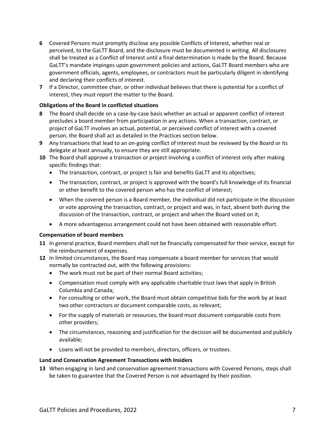- **6** Covered Persons must promptly disclose any possible Conflicts of Interest, whether real or perceived, to the GaLTT Board, and the disclosure must be documented in writing. All disclosures shall be treated as a Conflict of Interest until a final determination is made by the Board. Because GaLTT's mandate impinges upon government policies and actions, GaLTT Board members who are government officials, agents, employees, or contractors must be particularly diligent in identifying and declaring their conflicts of interest.
- **7** If a Director, committee chair, or other individual believes that there is potential for a conflict of interest, they must report the matter to the Board.

#### **Obligations of the Board in conflicted situations**

- **8** The Board shall decide on a case-by-case basis whether an actual or apparent conflict of interest precludes a board member from participation in any actions. When a transaction, contract, or project of GaLTT involves an actual, potential, or perceived conflict of interest with a covered person, the Board shall act as detailed in the Practices section below.
- **9** Any transactions that lead to an on-going conflict of interest must be reviewed by the Board or its delegate at least annually, to ensure they are still appropriate.
- **10** The Board shall approve a transaction or project involving a conflict of interest only after making specific findings that:
	- The transaction, contract, or project is fair and benefits GaLTT and its objectives;
	- The transaction, contract, or project is approved with the board's full knowledge of its financial or other benefit to the covered person who has the conflict of interest;
	- When the covered person is a Board member, the individual did not participate in the discussion or vote approving the transaction, contract, or project and was, in fact, absent both during the discussion of the transaction, contract, or project and when the Board voted on it;
	- A more advantageous arrangement could not have been obtained with reasonable effort.

#### **Compensation of board members**

- **11** In general practice, Board members shall not be financially compensated for their service, except for the reimbursement of expenses.
- **12** In limited circumstances, the Board may compensate a board member for services that would normally be contracted out, with the following provisions:
	- The work must not be part of their normal Board activities;
	- Compensation must comply with any applicable charitable trust laws that apply in British Columbia and Canada;
	- For consulting or other work, the Board must obtain competitive bids for the work by at least two other contractors or document comparable costs, as relevant;
	- For the supply of materials or resources, the board must document comparable costs from other providers;
	- The circumstances, reasoning and justification for the decision will be documented and publicly available;
	- Loans will not be provided to members, directors, officers, or trustees.

#### **Land and Conservation Agreement Transactions with Insiders**

**13** When engaging in land and conservation agreement transactions with Covered Persons, steps shall be taken to guarantee that the Covered Person is not advantaged by their position.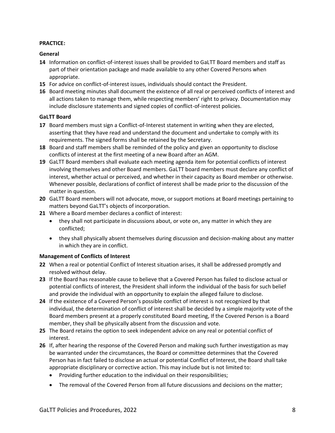#### **PRACTICE:**

### **General**

- **14** Information on conflict-of-interest issues shall be provided to GaLTT Board members and staff as part of their orientation package and made available to any other Covered Persons when appropriate.
- **15** For advice on conflict-of-interest issues, individuals should contact the President.
- **16** Board meeting minutes shall document the existence of all real or perceived conflicts of interest and all actions taken to manage them, while respecting members' right to privacy. Documentation may include disclosure statements and signed copies of conflict-of-interest policies.

### **GaLTT Board**

- **17** Board members must sign a Conflict-of-Interest statement in writing when they are elected, asserting that they have read and understand the document and undertake to comply with its requirements. The signed forms shall be retained by the Secretary.
- **18** Board and staff members shall be reminded of the policy and given an opportunity to disclose conflicts of interest at the first meeting of a new Board after an AGM.
- **19** GaLTT Board members shall evaluate each meeting agenda item for potential conflicts of interest involving themselves and other Board members. GaLTT board members must declare any conflict of interest, whether actual or perceived, and whether in their capacity as Board member or otherwise. Whenever possible, declarations of conflict of interest shall be made prior to the discussion of the matter in question.
- **20** GaLTT Board members will not advocate, move, or support motions at Board meetings pertaining to matters beyond GaLTT's objects of incorporation.
- **21** Where a Board member declares a conflict of interest:
	- they shall not participate in discussions about, or vote on, any matter in which they are conflicted;
	- they shall physically absent themselves during discussion and decision-making about any matter in which they are in conflict.

#### **Management of Conflicts of Interest**

- **22** When a real or potential Conflict of Interest situation arises, it shall be addressed promptly and resolved without delay.
- **23** If the Board has reasonable cause to believe that a Covered Person has failed to disclose actual or potential conflicts of interest, the President shall inform the individual of the basis for such belief and provide the individual with an opportunity to explain the alleged failure to disclose.
- **24** If the existence of a Covered Person's possible conflict of interest is not recognized by that individual, the determination of conflict of interest shall be decided by a simple majority vote of the Board members present at a properly constituted Board meeting, If the Covered Person is a Board member, they shall be physically absent from the discussion and vote.
- **25** The Board retains the option to seek independent advice on any real or potential conflict of interest.
- **26** If, after hearing the response of the Covered Person and making such further investigation as may be warranted under the circumstances, the Board or committee determines that the Covered Person has in fact failed to disclose an actual or potential Conflict of Interest, the Board shall take appropriate disciplinary or corrective action. This may include but is not limited to:
	- Providing further education to the individual on their responsibilities;
	- The removal of the Covered Person from all future discussions and decisions on the matter;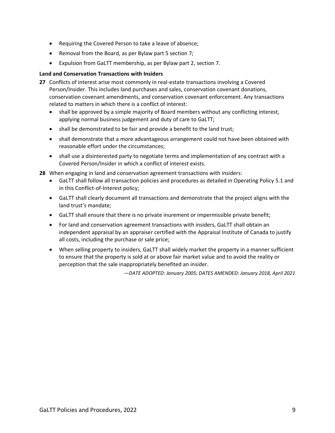- Requiring the Covered Person to take a leave of absence;
- Removal from the Board, as per Bylaw part 5 section 7;
- Expulsion from GaLTT membership, as per Bylaw part 2, section 7.

### **Land and Conservation Transactions with Insiders**

- **27** Conflicts of interest arise most commonly in real-estate transactions involving a Covered Person/Insider. This includes land purchases and sales, conservation covenant donations, conservation covenant amendments, and conservation covenant enforcement. Any transactions related to matters in which there is a conflict of interest:
	- shall be approved by a simple majority of Board members without any conflicting interest, applying normal business judgement and duty of care to GaLTT;
	- shall be demonstrated to be fair and provide a benefit to the land trust;
	- shall demonstrate that a more advantageous arrangement could not have been obtained with reasonable effort under the circumstances;
	- shall use a disinterested party to negotiate terms and implementation of any contract with a Covered Person/Insider in which a conflict of interest exists.
- **28** When engaging in land and conservation agreement transactions with insiders:
	- GaLTT shall follow all transaction policies and procedures as detailed in Operating Policy 5.1 and in this Conflict-of-Interest policy;
	- GaLTT shall clearly document all transactions and demonstrate that the project aligns with the land trust's mandate;
	- GaLTT shall ensure that there is no private inurement or impermissible private benefit;
	- For land and conservation agreement transactions with insiders, GaLTT shall obtain an independent appraisal by an appraiser certified with the Appraisal Institute of Canada to justify all costs, including the purchase or sale price;
	- When selling property to insiders, GaLTT shall widely market the property in a manner sufficient to ensure that the property is sold at or above fair market value and to avoid the reality or perception that the sale inappropriately benefited an insider.

*—DATE ADOPTED: January 2005; DATES AMENDED: January 2018, April 2021*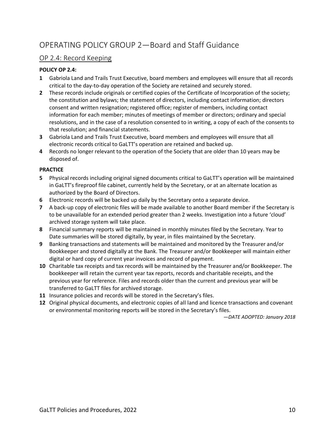# OP 2.4: Record Keeping

## **POLICY OP 2.4:**

- **1** Gabriola Land and Trails Trust Executive, board members and employees will ensure that all records critical to the day-to-day operation of the Society are retained and securely stored.
- **2** These records include originals or certified copies of the Certificate of Incorporation of the society; the constitution and bylaws; the statement of directors, including contact information; directors consent and written resignation; registered office; register of members, including contact information for each member; minutes of meetings of member or directors; ordinary and special resolutions, and in the case of a resolution consented to in writing, a copy of each of the consents to that resolution; and financial statements.
- **3** Gabriola Land and Trails Trust Executive, board members and employees will ensure that all electronic records critical to GaLTT's operation are retained and backed up.
- **4** Records no longer relevant to the operation of the Society that are older than 10 years may be disposed of.

### **PRACTICE**

- **5** Physical records including original signed documents critical to GaLTT's operation will be maintained in GaLTT's fireproof file cabinet, currently held by the Secretary, or at an alternate location as authorized by the Board of Directors.
- **6** Electronic records will be backed up daily by the Secretary onto a separate device.
- **7** A back-up copy of electronic files will be made available to another Board member if the Secretary is to be unavailable for an extended period greater than 2 weeks. Investigation into a future 'cloud' archived storage system will take place.
- **8** Financial summary reports will be maintained in monthly minutes filed by the Secretary. Year to Date summaries will be stored digitally, by year, in files maintained by the Secretary.
- **9** Banking transactions and statements will be maintained and monitored by the Treasurer and/or Bookkeeper and stored digitally at the Bank. The Treasurer and/or Bookkeeper will maintain either digital or hard copy of current year invoices and record of payment.
- **10** Charitable tax receipts and tax records will be maintained by the Treasurer and/or Bookkeeper. The bookkeeper will retain the current year tax reports, records and charitable receipts, and the previous year for reference. Files and records older than the current and previous year will be transferred to GaLTT files for archived storage.
- **11** Insurance policies and records will be stored in the Secretary's files.
- **12** Original physical documents, and electronic copies of all land and licence transactions and covenant or environmental monitoring reports will be stored in the Secretary's files.

*—DATE ADOPTED: January 2018*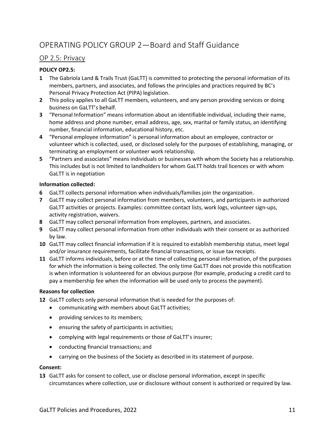# OP 2.5: Privacy

# **POLICY OP2.5:**

- **1** The Gabriola Land & Trails Trust (GaLTT) is committed to protecting the personal information of its members, partners, and associates, and follows the principles and practices required by BC's Personal Privacy Protection Act (PIPA) legislation.
- **2** This policy applies to all GaLTT members, volunteers, and any person providing services or doing business on GaLTT's behalf.
- **3** "Personal Information" means information about an identifiable individual, including their name, home address and phone number, email address, age, sex, marital or family status, an identifying number, financial information, educational history, etc.
- **4** "Personal employee information" is personal information about an employee, contractor or volunteer which is collected, used, or disclosed solely for the purposes of establishing, managing, or terminating an employment or volunteer work relationship.
- **5** "Partners and associates" means individuals or businesses with whom the Society has a relationship. This includes but is not limited to landholders for whom GaLTT holds trail licences or with whom GaLTT is in negotiation

## **Information collected:**

- **6** GaLTT collects personal information when individuals/families join the organization.
- **7** GaLTT may collect personal information from members, volunteers, and participants in authorized GaLTT activities or projects. Examples: committee contact lists, work logs, volunteer sign-ups, activity registration, waivers.
- **8** GaLTT may collect personal information from employees, partners, and associates.
- **9** GaLTT may collect personal information from other individuals with their consent or as authorized by law.
- **10** GaLTT may collect financial information if it is required to establish membership status, meet legal and/or insurance requirements, facilitate financial transactions, or issue tax receipts.
- **11** GaLTT informs individuals, before or at the time of collecting personal information, of the purposes for which the information is being collected. The only time GaLTT does not provide this notification is when information is volunteered for an obvious purpose (for example, producing a credit card to pay a membership fee when the information will be used only to process the payment).

## **Reasons for collection**

- **12** GaLTT collects only personal information that is needed for the purposes of:
	- communicating with members about GaLTT activities;
	- providing services to its members;
	- ensuring the safety of participants in activities;
	- complying with legal requirements or those of GaLTT's insurer;
	- conducting financial transactions; and
	- carrying on the business of the Society as described in its statement of purpose.

#### **Consent:**

**13** GaLTT asks for consent to collect, use or disclose personal information, except in specific circumstances where collection, use or disclosure without consent is authorized or required by law.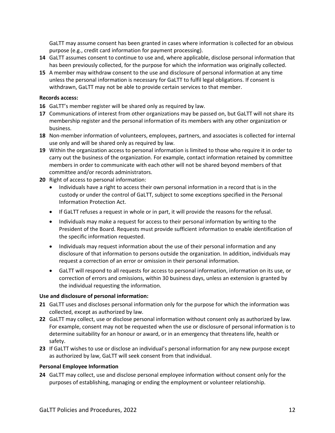GaLTT may assume consent has been granted in cases where information is collected for an obvious purpose (e.g., credit card information for payment processing).

- **14** GaLTT assumes consent to continue to use and, where applicable, disclose personal information that has been previously collected, for the purpose for which the information was originally collected.
- **15** A member may withdraw consent to the use and disclosure of personal information at any time unless the personal information is necessary for GaLTT to fulfil legal obligations. If consent is withdrawn, GaLTT may not be able to provide certain services to that member.

#### **Records access:**

- **16** GaLTT's member register will be shared only as required by law.
- **17** Communications of interest from other organizations may be passed on, but GaLTT will not share its membership register and the personal information of its members with any other organization or business.
- **18** Non-member information of volunteers, employees, partners, and associates is collected for internal use only and will be shared only as required by law.
- **19** Within the organization access to personal information is limited to those who require it in order to carry out the business of the organization. For example, contact information retained by committee members in order to communicate with each other will not be shared beyond members of that committee and/or records administrators.
- **20** Right of access to personal information:
	- Individuals have a right to access their own personal information in a record that is in the custody or under the control of GaLTT, subject to some exceptions specified in the Personal Information Protection Act.
	- If GaLTT refuses a request in whole or in part, it will provide the reasons for the refusal.
	- Individuals may make a request for access to their personal information by writing to the President of the Board. Requests must provide sufficient information to enable identification of the specific information requested.
	- Individuals may request information about the use of their personal information and any disclosure of that information to persons outside the organization. In addition, individuals may request a correction of an error or omission in their personal information.
	- GaLTT will respond to all requests for access to personal information, information on its use, or correction of errors and omissions, within 30 business days, unless an extension is granted by the individual requesting the information.

#### **Use and disclosure of personal information:**

- **21** GaLTT uses and discloses personal information only for the purpose for which the information was collected, except as authorized by law.
- **22** GaLTT may collect, use or disclose personal information without consent only as authorized by law. For example, consent may not be requested when the use or disclosure of personal information is to determine suitability for an honour or award, or in an emergency that threatens life, health or safety.
- **23** If GaLTT wishes to use or disclose an individual's personal information for any new purpose except as authorized by law, GaLTT will seek consent from that individual.

#### **Personal Employee Information**

**24** GaLTT may collect, use and disclose personal employee information without consent only for the purposes of establishing, managing or ending the employment or volunteer relationship.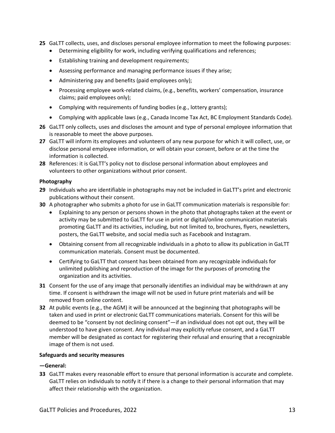- **25** GaLTT collects, uses, and discloses personal employee information to meet the following purposes:
	- Determining eligibility for work, including verifying qualifications and references;
	- Establishing training and development requirements;
	- Assessing performance and managing performance issues if they arise;
	- Administering pay and benefits (paid employees only);
	- Processing employee work-related claims, (e.g., benefits, workers' compensation, insurance claims; paid employees only);
	- Complying with requirements of funding bodies (e.g., lottery grants);
	- Complying with applicable laws (e.g., Canada Income Tax Act, BC Employment Standards Code).
- **26** GaLTT only collects, uses and discloses the amount and type of personal employee information that is reasonable to meet the above purposes.
- **27** GaLTT will inform its employees and volunteers of any new purpose for which it will collect, use, or disclose personal employee information, or will obtain your consent, before or at the time the information is collected.
- **28** References: it is GaLTT's policy not to disclose personal information about employees and volunteers to other organizations without prior consent.

## **Photography**

- **29** Individuals who are identifiable in photographs may not be included in GaLTT's print and electronic publications without their consent.
- **30** A photographer who submits a photo for use in GaLTT communication materials is responsible for:
	- Explaining to any person or persons shown in the photo that photographs taken at the event or activity may be submitted to GaLTT for use in print or digital/online communication materials promoting GaLTT and its activities, including, but not limited to, brochures, flyers, newsletters, posters, the GaLTT website, and social media such as Facebook and Instagram.
	- Obtaining consent from all recognizable individuals in a photo to allow its publication in GaLTT communication materials. Consent must be documented.
	- Certifying to GaLTT that consent has been obtained from any recognizable individuals for unlimited publishing and reproduction of the image for the purposes of promoting the organization and its activities.
- **31** Consent for the use of any image that personally identifies an individual may be withdrawn at any time. If consent is withdrawn the image will not be used in future print materials and will be removed from online content.
- **32** At public events (e.g., the AGM) it will be announced at the beginning that photographs will be taken and used in print or electronic GaLTT communications materials. Consent for this will be deemed to be "consent by not declining consent"—if an individual does not opt out, they will be understood to have given consent. Any individual may explicitly refuse consent, and a GaLTT member will be designated as contact for registering their refusal and ensuring that a recognizable image of them is not used.

## **Safeguards and security measures**

## **—General:**

**33** GaLTT makes every reasonable effort to ensure that personal information is accurate and complete. GaLTT relies on individuals to notify it if there is a change to their personal information that may affect their relationship with the organization.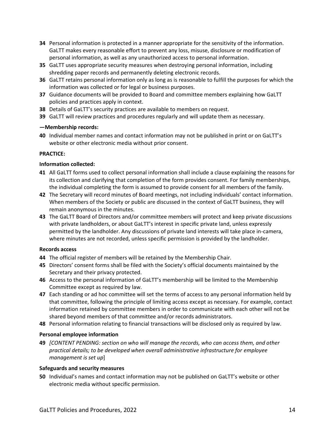- **34** Personal information is protected in a manner appropriate for the sensitivity of the information. GaLTT makes every reasonable effort to prevent any loss, misuse, disclosure or modification of personal information, as well as any unauthorized access to personal information.
- **35** GaLTT uses appropriate security measures when destroying personal information, including shredding paper records and permanently deleting electronic records.
- **36** GaLTT retains personal information only as long as is reasonable to fulfill the purposes for which the information was collected or for legal or business purposes.
- **37** Guidance documents will be provided to Board and committee members explaining how GaLTT policies and practices apply in context.
- **38** Details of GaLTT's security practices are available to members on request.
- **39** GaLTT will review practices and procedures regularly and will update them as necessary.

#### **—Membership records:**

**40** Individual member names and contact information may not be published in print or on GaLTT's website or other electronic media without prior consent.

### **PRACTICE:**

#### **Information collected:**

- **41** All GaLTT forms used to collect personal information shall include a clause explaining the reasons for its collection and clarifying that completion of the form provides consent. For family memberships, the individual completing the form is assumed to provide consent for all members of the family.
- **42** The Secretary will record minutes of Board meetings, not including individuals' contact information. When members of the Society or public are discussed in the context of GaLTT business, they will remain anonymous in the minutes.
- **43** The GaLTT Board of Directors and/or committee members will protect and keep private discussions with private landholders, or about GaLTT's interest in specific private land, unless expressly permitted by the landholder. Any discussions of private land interests will take place in-camera, where minutes are not recorded, unless specific permission is provided by the landholder.

#### **Records access**

- **44** The official register of members will be retained by the Membership Chair.
- **45** Directors' consent forms shall be filed with the Society's official documents maintained by the Secretary and their privacy protected.
- **46** Access to the personal information of GaLTT's membership will be limited to the Membership Committee except as required by law.
- **47** Each standing or ad hoc committee will set the terms of access to any personal information held by that committee, following the principle of limiting access except as necessary. For example, contact information retained by committee members in order to communicate with each other will not be shared beyond members of that committee and/or records administrators.
- **48** Personal information relating to financial transactions will be disclosed only as required by law.

#### **Personal employee information**

**49** *[CONTENT PENDING: section on who will manage the records, who can access them, and other practical details; to be developed when overall administrative infrastructure for employee management is set up*]

#### **Safeguards and security measures**

**50** Individual's names and contact information may not be published on GaLTT's website or other electronic media without specific permission.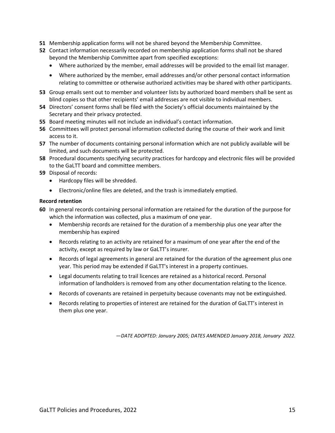- **51** Membership application forms will not be shared beyond the Membership Committee.
- **52** Contact information necessarily recorded on membership application forms shall not be shared beyond the Membership Committee apart from specified exceptions:
	- Where authorized by the member, email addresses will be provided to the email list manager.
	- Where authorized by the member, email addresses and/or other personal contact information relating to committee or otherwise authorized activities may be shared with other participants.
- **53** Group emails sent out to member and volunteer lists by authorized board members shall be sent as blind copies so that other recipients' email addresses are not visible to individual members.
- **54** Directors' consent forms shall be filed with the Society's official documents maintained by the Secretary and their privacy protected.
- **55** Board meeting minutes will not include an individual's contact information.
- **56** Committees will protect personal information collected during the course of their work and limit access to it.
- **57** The number of documents containing personal information which are not publicly available will be limited, and such documents will be protected.
- **58** Procedural documents specifying security practices for hardcopy and electronic files will be provided to the GaLTT board and committee members.
- **59** Disposal of records:
	- Hardcopy files will be shredded.
	- Electronic/online files are deleted, and the trash is immediately emptied.

#### **Record retention**

- **60** In general records containing personal information are retained for the duration of the purpose for which the information was collected, plus a maximum of one year.
	- Membership records are retained for the duration of a membership plus one year after the membership has expired
	- Records relating to an activity are retained for a maximum of one year after the end of the activity, except as required by law or GaLTT's insurer.
	- Records of legal agreements in general are retained for the duration of the agreement plus one year. This period may be extended if GaLTT's interest in a property continues.
	- Legal documents relating to trail licences are retained as a historical record. Personal information of landholders is removed from any other documentation relating to the licence.
	- Records of covenants are retained in perpetuity because covenants may not be extinguished.
	- Records relating to properties of interest are retained for the duration of GaLTT's interest in them plus one year.

*—DATE ADOPTED: January 2005; DATES AMENDED January 2018, January 2022.*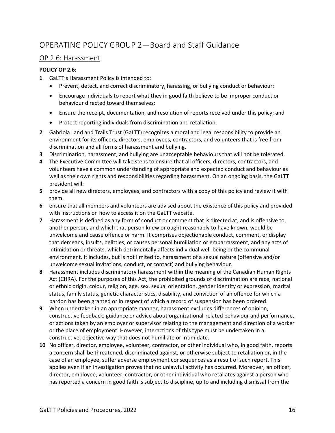# OP 2.6: Harassment

# **POLICY OP 2.6:**

- **1** GaLTT's Harassment Policy is intended to:
	- Prevent, detect, and correct discriminatory, harassing, or bullying conduct or behaviour;
	- Encourage individuals to report what they in good faith believe to be improper conduct or behaviour directed toward themselves;
	- Ensure the receipt, documentation, and resolution of reports received under this policy; and
	- Protect reporting individuals from discrimination and retaliation.
- **2** Gabriola Land and Trails Trust (GaLTT) recognizes a moral and legal responsibility to provide an environment for its officers, directors, employees, contractors, and volunteers that is free from discrimination and all forms of harassment and bullying.
- **3** Discrimination, harassment, and bullying are unacceptable behaviours that will not be tolerated.
- **4** The Executive Committee will take steps to ensure that all officers, directors, contractors, and volunteers have a common understanding of appropriate and expected conduct and behaviour as well as their own rights and responsibilities regarding harassment. On an ongoing basis, the GaLTT president will:
- **5** provide all new directors, employees, and contractors with a copy of this policy and review it with them.
- **6** ensure that all members and volunteers are advised about the existence of this policy and provided with instructions on how to access it on the GaLTT website.
- **7** Harassment is defined as any form of conduct or comment that is directed at, and is offensive to, another person, and which that person knew or ought reasonably to have known, would be unwelcome and cause offence or harm. It comprises objectionable conduct, comment, or display that demeans, insults, belittles, or causes personal humiliation or embarrassment, and any acts of intimidation or threats, which detrimentally affects individual well-being or the communal environment. It includes, but is not limited to, harassment of a sexual nature (offensive and/or unwelcome sexual invitations, conduct, or contact) and bullying behaviour.
- **8** Harassment includes discriminatory harassment within the meaning of the Canadian Human Rights Act (CHRA). For the purposes of this Act, the prohibited grounds of discrimination are race, national or ethnic origin, colour, religion, age, sex, sexual orientation, gender identity or expression, marital status, family status, genetic characteristics, disability, and conviction of an offence for which a pardon has been granted or in respect of which a record of suspension has been ordered.
- **9** When undertaken in an appropriate manner, harassment excludes differences of opinion, constructive feedback, guidance or advice about organizational-related behaviour and performance, or actions taken by an employer or supervisor relating to the management and direction of a worker or the place of employment. However, interactions of this type must be undertaken in a constructive, objective way that does not humiliate or intimidate.
- **10** No officer, director, employee, volunteer, contractor, or other individual who, in good faith, reports a concern shall be threatened, discriminated against, or otherwise subject to retaliation or, in the case of an employee, suffer adverse employment consequences as a result of such report. This applies even if an investigation proves that no unlawful activity has occurred. Moreover, an officer, director, employee, volunteer, contractor, or other individual who retaliates against a person who has reported a concern in good faith is subject to discipline, up to and including dismissal from the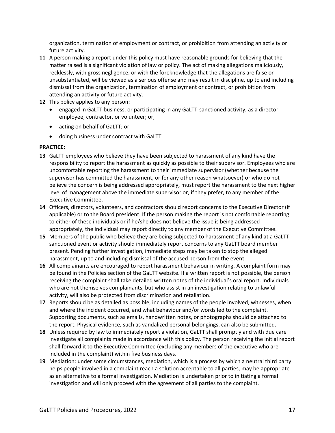organization, termination of employment or contract, or prohibition from attending an activity or future activity.

- **11** A person making a report under this policy must have reasonable grounds for believing that the matter raised is a significant violation of law or policy. The act of making allegations maliciously, recklessly, with gross negligence, or with the foreknowledge that the allegations are false or unsubstantiated, will be viewed as a serious offense and may result in discipline, up to and including dismissal from the organization, termination of employment or contract, or prohibition from attending an activity or future activity.
- **12** This policy applies to any person:
	- engaged in GaLTT business, or participating in any GaLTT-sanctioned activity, as a director, employee, contractor, or volunteer; or,
	- acting on behalf of GaLTT; or
	- doing business under contract with GaLTT.

#### **PRACTICE:**

- **13** GaLTT employees who believe they have been subjected to harassment of any kind have the responsibility to report the harassment as quickly as possible to their supervisor. Employees who are uncomfortable reporting the harassment to their immediate supervisor (whether because the supervisor has committed the harassment, or for any other reason whatsoever) or who do not believe the concern is being addressed appropriately, must report the harassment to the next higher level of management above the immediate supervisor or, if they prefer, to any member of the Executive Committee.
- **14** Officers, directors, volunteers, and contractors should report concerns to the Executive Director (if applicable) or to the Board president. If the person making the report is not comfortable reporting to either of these individuals or if he/she does not believe the issue is being addressed appropriately, the individual may report directly to any member of the Executive Committee.
- **15** Members of the public who believe they are being subjected to harassment of any kind at a GaLTTsanctioned event or activity should immediately report concerns to any GaLTT board member present. Pending further investigation, immediate steps may be taken to stop the alleged harassment, up to and including dismissal of the accused person from the event.
- **16** All complainants are encouraged to report harassment behaviour in writing. A complaint form may be found in the Policies section of the GaLTT website. If a written report is not possible, the person receiving the complaint shall take detailed written notes of the individual's oral report. Individuals who are not themselves complainants, but who assist in an investigation relating to unlawful activity, will also be protected from discrimination and retaliation.
- **17** Reports should be as detailed as possible, including names of the people involved, witnesses, when and where the incident occurred, and what behaviour and/or words led to the complaint. Supporting documents, such as emails, handwritten notes, or photographs should be attached to the report. Physical evidence, such as vandalized personal belongings, can also be submitted.
- **18** Unless required by law to immediately report a violation, GaLTT shall promptly and with due care investigate all complaints made in accordance with this policy. The person receiving the initial report shall forward it to the Executive Committee (excluding any members of the executive who are included in the complaint) within five business days.
- **19** Mediation: under some circumstances, mediation, which is a process by which a neutral third party helps people involved in a complaint reach a solution acceptable to all parties, may be appropriate as an alternative to a formal investigation. Mediation is undertaken prior to initiating a formal investigation and will only proceed with the agreement of all parties to the complaint.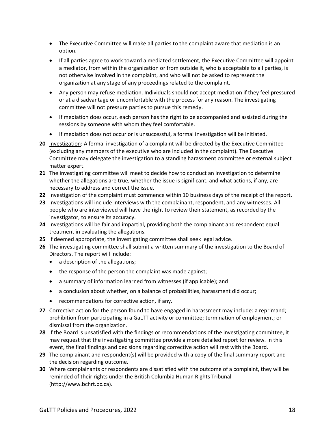- The Executive Committee will make all parties to the complaint aware that mediation is an option.
- If all parties agree to work toward a mediated settlement, the Executive Committee will appoint a mediator, from within the organization or from outside it, who is acceptable to all parties, is not otherwise involved in the complaint, and who will not be asked to represent the organization at any stage of any proceedings related to the complaint.
- Any person may refuse mediation. Individuals should not accept mediation if they feel pressured or at a disadvantage or uncomfortable with the process for any reason. The investigating committee will not pressure parties to pursue this remedy.
- If mediation does occur, each person has the right to be accompanied and assisted during the sessions by someone with whom they feel comfortable.
- If mediation does not occur or is unsuccessful, a formal investigation will be initiated.
- **20** Investigation: A formal investigation of a complaint will be directed by the Executive Committee (excluding any members of the executive who are included in the complaint). The Executive Committee may delegate the investigation to a standing harassment committee or external subject matter expert.
- **21** The investigating committee will meet to decide how to conduct an investigation to determine whether the allegations are true, whether the issue is significant, and what actions, if any, are necessary to address and correct the issue.
- **22** Investigation of the complaint must commence within 10 business days of the receipt of the report.
- **23** Investigations will include interviews with the complainant, respondent, and any witnesses. All people who are interviewed will have the right to review their statement, as recorded by the investigator, to ensure its accuracy.
- **24** Investigations will be fair and impartial, providing both the complainant and respondent equal treatment in evaluating the allegations.
- **25** If deemed appropriate, the investigating committee shall seek legal advice.
- **26** The investigating committee shall submit a written summary of the investigation to the Board of Directors. The report will include:
	- a description of the allegations;
	- the response of the person the complaint was made against;
	- a summary of information learned from witnesses (if applicable); and
	- a conclusion about whether, on a balance of probabilities, harassment did occur;
	- recommendations for corrective action, if any.
- **27** Corrective action for the person found to have engaged in harassment may include: a reprimand; prohibition from participating in a GaLTT activity or committee; termination of employment; or dismissal from the organization.
- **28** If the Board is unsatisfied with the findings or recommendations of the investigating committee, it may request that the investigating committee provide a more detailed report for review. In this event, the final findings and decisions regarding corrective action will rest with the Board.
- **29** The complainant and respondent(s) will be provided with a copy of the final summary report and the decision regarding outcome.
- **30** Where complainants or respondents are dissatisfied with the outcome of a complaint, they will be reminded of their rights under the British Columbia Human Rights Tribunal [\(http://www.bchrt.bc.ca\)](http://www.bchrt.bc.ca/).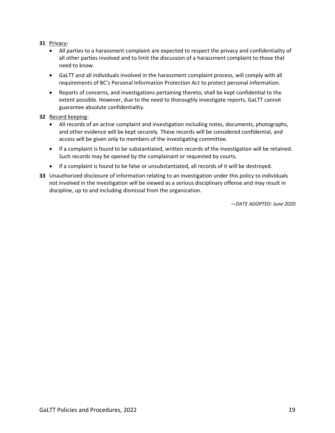### **31** Privacy:

- All parties to a harassment complaint are expected to respect the privacy and confidentiality of all other parties involved and to limit the discussion of a harassment complaint to those that need to know.
- GaLTT and all individuals involved in the harassment complaint process, will comply with all requirements of BC's Personal Information Protection Act to protect personal information.
- Reports of concerns, and investigations pertaining thereto, shall be kept confidential to the extent possible. However, due to the need to thoroughly investigate reports, GaLTT cannot guarantee absolute confidentiality.

#### **32** Record keeping:

- All records of an active complaint and investigation including notes, documents, photographs, and other evidence will be kept securely. These records will be considered confidential, and access will be given only to members of the investigating committee.
- If a complaint is found to be substantiated, written records of the investigation will be retained. Such records may be opened by the complainant or requested by courts.
- If a complaint is found to be false or unsubstantiated, all records of it will be destroyed.
- **33** Unauthorized disclosure of information relating to an investigation under this policy to individuals not involved in the investigation will be viewed as a serious disciplinary offense and may result in discipline, up to and including dismissal from the organization.

*—DATE ADOPTED: June 2020*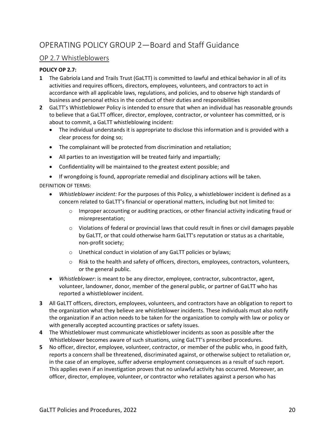# OP 2.7 Whistleblowers

## **POLICY OP 2.7:**

- **1** The Gabriola Land and Trails Trust (GaLTT) is committed to lawful and ethical behavior in all of its activities and requires officers, directors, employees, volunteers, and contractors to act in accordance with all applicable laws, regulations, and policies, and to observe high standards of business and personal ethics in the conduct of their duties and responsibilities
- **2** GaLTT's Whistleblower Policy is intended to ensure that when an individual has reasonable grounds to believe that a GaLTT officer, director, employee, contractor, or volunteer has committed, or is about to commit, a GaLTT whistleblowing incident:
	- The individual understands it is appropriate to disclose this information and is provided with a clear process for doing so;
	- The complainant will be protected from discrimination and retaliation;
	- All parties to an investigation will be treated fairly and impartially;
	- Confidentiality will be maintained to the greatest extent possible; and
	- If wrongdoing is found, appropriate remedial and disciplinary actions will be taken.

DEFINITION OF TERMS:

- *Whistleblower incident:* For the purposes of this Policy, a whistleblower incident is defined as a concern related to GaLTT's financial or operational matters, including but not limited to:
	- $\circ$  Improper accounting or auditing practices, or other financial activity indicating fraud or misrepresentation;
	- $\circ$  Violations of federal or provincial laws that could result in fines or civil damages payable by GaLTT, or that could otherwise harm GaLTT's reputation or status as a charitable, non-profit society;
	- o Unethical conduct in violation of any GaLTT policies or bylaws;
	- o Risk to the health and safety of officers, directors, employees, contractors, volunteers, or the general public.
- *Whistleblower*: is meant to be any director, employee, contractor, subcontractor, agent, volunteer, landowner, donor, member of the general public, or partner of GaLTT who has reported a whistleblower incident.
- **3** All GaLTT officers, directors, employees, volunteers, and contractors have an obligation to report to the organization what they believe are whistleblower incidents. These individuals must also notify the organization if an action needs to be taken for the organization to comply with law or policy or with generally accepted accounting practices or safety issues.
- **4** The Whistleblower must communicate whistleblower incidents as soon as possible after the Whistleblower becomes aware of such situations, using GaLTT's prescribed procedures.
- **5** No officer, director, employee, volunteer, contractor, or member of the public who, in good faith, reports a concern shall be threatened, discriminated against, or otherwise subject to retaliation or, in the case of an employee, suffer adverse employment consequences as a result of such report. This applies even if an investigation proves that no unlawful activity has occurred. Moreover, an officer, director, employee, volunteer, or contractor who retaliates against a person who has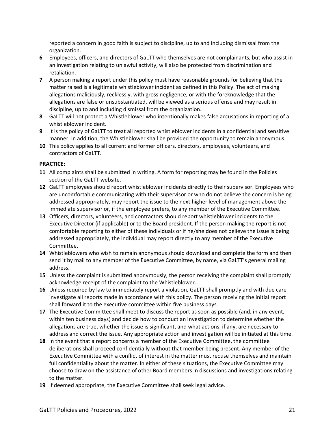reported a concern in good faith is subject to discipline, up to and including dismissal from the organization.

- **6** Employees, officers, and directors of GaLTT who themselves are not complainants, but who assist in an investigation relating to unlawful activity, will also be protected from discrimination and retaliation.
- **7** A person making a report under this policy must have reasonable grounds for believing that the matter raised is a legitimate whistleblower incident as defined in this Policy. The act of making allegations maliciously, recklessly, with gross negligence, or with the foreknowledge that the allegations are false or unsubstantiated, will be viewed as a serious offense and may result in discipline, up to and including dismissal from the organization.
- **8** GaLTT will not protect a Whistleblower who intentionally makes false accusations in reporting of a whistleblower incident.
- **9** It is the policy of GaLTT to treat all reported whistleblower incidents in a confidential and sensitive manner. In addition, the Whistleblower shall be provided the opportunity to remain anonymous.
- **10** This policy applies to all current and former officers, directors, employees, volunteers, and contractors of GaLTT.

#### **PRACTICE:**

- **11** All complaints shall be submitted in writing. A form for reporting may be found in the Policies section of the GaLTT website.
- **12** GaLTT employees should report whistleblower incidents directly to their supervisor. Employees who are uncomfortable communicating with their supervisor or who do not believe the concern is being addressed appropriately, may report the issue to the next higher level of management above the immediate supervisor or, if the employee prefers, to any member of the Executive Committee.
- **13** Officers, directors, volunteers, and contractors should report whistleblower incidents to the Executive Director (if applicable) or to the Board president. If the person making the report is not comfortable reporting to either of these individuals or if he/she does not believe the issue is being addressed appropriately, the individual may report directly to any member of the Executive Committee.
- **14** Whistleblowers who wish to remain anonymous should download and complete the form and then send it by mail to any member of the Executive Committee, by name, via GaLTT's general mailing address.
- **15** Unless the complaint is submitted anonymously, the person receiving the complaint shall promptly acknowledge receipt of the complaint to the Whistleblower.
- **16** Unless required by law to immediately report a violation, GaLTT shall promptly and with due care investigate all reports made in accordance with this policy. The person receiving the initial report shall forward it to the executive committee within five business days.
- **17** The Executive Committee shall meet to discuss the report as soon as possible (and, in any event, within ten business days) and decide how to conduct an investigation to determine whether the allegations are true, whether the issue is significant, and what actions, if any, are necessary to address and correct the issue. Any appropriate action and investigation will be initiated at this time.
- **18** In the event that a report concerns a member of the Executive Committee, the committee deliberations shall proceed confidentially without that member being present. Any member of the Executive Committee with a conflict of interest in the matter must recuse themselves and maintain full confidentiality about the matter. In either of these situations, the Executive Committee may choose to draw on the assistance of other Board members in discussions and investigations relating to the matter.
- **19** If deemed appropriate, the Executive Committee shall seek legal advice.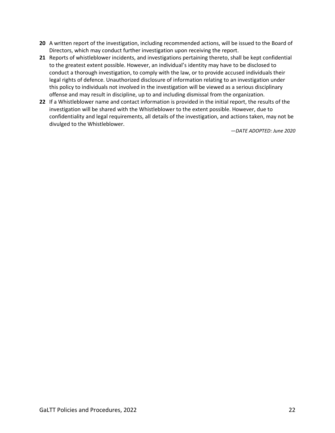- **20** A written report of the investigation, including recommended actions, will be issued to the Board of Directors, which may conduct further investigation upon receiving the report.
- **21** Reports of whistleblower incidents, and investigations pertaining thereto, shall be kept confidential to the greatest extent possible. However, an individual's identity may have to be disclosed to conduct a thorough investigation, to comply with the law, or to provide accused individuals their legal rights of defence. Unauthorized disclosure of information relating to an investigation under this policy to individuals not involved in the investigation will be viewed as a serious disciplinary offense and may result in discipline, up to and including dismissal from the organization.
- **22** If a Whistleblower name and contact information is provided in the initial report, the results of the investigation will be shared with the Whistleblower to the extent possible. However, due to confidentiality and legal requirements, all details of the investigation, and actions taken, may not be divulged to the Whistleblower.

*—DATE ADOPTED: June 2020*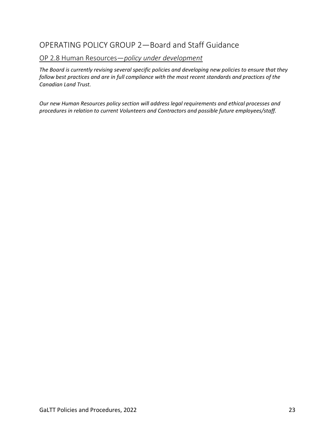# OP 2.8 Human Resources—*policy under development*

*The Board is currently revising several specific policies and developing new policies to ensure that they follow best practices and are in full compliance with the most recent standards and practices of the Canadian Land Trust.* 

*Our new Human Resources policy section will address legal requirements and ethical processes and procedures in relation to current Volunteers and Contractors and possible future employees/staff.*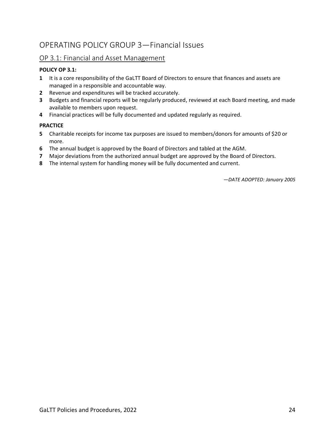# OPERATING POLICY GROUP 3—Financial Issues

# OP 3.1: Financial and Asset Management

# **POLICY OP 3.1:**

- **1** It is a core responsibility of the GaLTT Board of Directors to ensure that finances and assets are managed in a responsible and accountable way.
- **2** Revenue and expenditures will be tracked accurately.
- **3** Budgets and financial reports will be regularly produced, reviewed at each Board meeting, and made available to members upon request.
- **4** Financial practices will be fully documented and updated regularly as required.

### **PRACTICE**

- **5** Charitable receipts for income tax purposes are issued to members/donors for amounts of \$20 or more.
- **6** The annual budget is approved by the Board of Directors and tabled at the AGM.
- **7** Major deviations from the authorized annual budget are approved by the Board of Directors.
- **8** The internal system for handling money will be fully documented and current.

*—DATE ADOPTED: January 2005*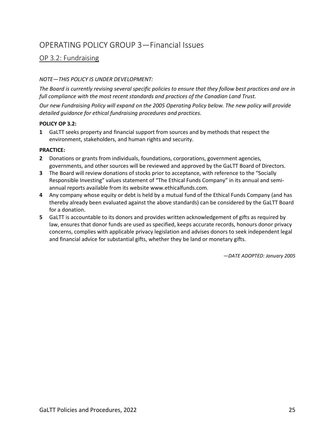# OPERATING POLICY GROUP 3—Financial Issues

# OP 3.2: Fundraising

## *NOTE—THIS POLICY IS UNDER DEVELOPMENT:*

*The Board is currently revising several specific policies to ensure that they follow best practices and are in full compliance with the most recent standards and practices of the Canadian Land Trust.* 

*Our new Fundraising Policy will expand on the 2005 Operating Policy below. The new policy will provide detailed guidance for ethical fundraising procedures and practices.*

#### **POLICY OP 3.2:**

**1** GaLTT seeks property and financial support from sources and by methods that respect the environment, stakeholders, and human rights and security.

#### **PRACTICE:**

- **2** Donations or grants from individuals, foundations, corporations, government agencies, governments, and other sources will be reviewed and approved by the GaLTT Board of Directors.
- **3** The Board will review donations of stocks prior to acceptance, with reference to the "Socially Responsible Investing" values statement of "The Ethical Funds Company" in its annual and semiannual reports available from its website www.ethicalfunds.com.
- **4** Any company whose equity or debt is held by a mutual fund of the Ethical Funds Company (and has thereby already been evaluated against the above standards) can be considered by the GaLTT Board for a donation.
- **5** GaLTT is accountable to its donors and provides written acknowledgement of gifts as required by law, ensures that donor funds are used as specified, keeps accurate records, honours donor privacy concerns, complies with applicable privacy legislation and advises donors to seek independent legal and financial advice for substantial gifts, whether they be land or monetary gifts.

*—DATE ADOPTED: January 2005*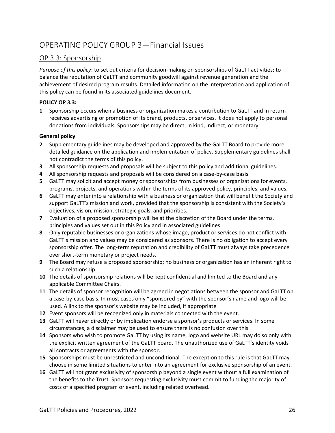# OPERATING POLICY GROUP 3—Financial Issues

# OP 3.3: Sponsorship

*Purpose of this policy*: to set out criteria for decision-making on sponsorships of GaLTT activities; to balance the reputation of GaLTT and community goodwill against revenue generation and the achievement of desired program results. Detailed information on the interpretation and application of this policy can be found in its associated guidelines document.

# **POLICY OP 3.3:**

**1** Sponsorship occurs when a business or organization makes a contribution to GaLTT and in return receives advertising or promotion of its brand, products, or services. It does not apply to personal donations from individuals. Sponsorships may be direct, in kind, indirect, or monetary.

## **General policy**

- **2** Supplementary guidelines may be developed and approved by the GaLTT Board to provide more detailed guidance on the application and implementation of policy. Supplementary guidelines shall not contradict the terms of this policy.
- **3** All sponsorship requests and proposals will be subject to this policy and additional guidelines.
- **4** All sponsorship requests and proposals will be considered on a case-by-case basis.
- **5** GaLTT may solicit and accept money or sponsorships from businesses or organizations for events, programs, projects, and operations within the terms of its approved policy, principles, and values.
- **6** GaLTT may enter into a relationship with a business or organization that will benefit the Society and support GaLTT's mission and work, provided that the sponsorship is consistent with the Society's objectives, vision, mission, strategic goals, and priorities.
- **7** Evaluation of a proposed sponsorship will be at the discretion of the Board under the terms, principles and values set out in this Policy and in associated guidelines.
- **8** Only reputable businesses or organizations whose image, product or services do not conflict with GaLTT's mission and values may be considered as sponsors. There is no obligation to accept every sponsorship offer. The long-term reputation and credibility of GaLTT must always take precedence over short-term monetary or project needs.
- **9** The Board may refuse a proposed sponsorship; no business or organization has an inherent right to such a relationship.
- **10** The details of sponsorship relations will be kept confidential and limited to the Board and any applicable Committee Chairs.
- **11** The details of sponsor recognition will be agreed in negotiations between the sponsor and GaLTT on a case-by-case basis. In most cases only "sponsored by" with the sponsor's name and logo will be used. A link to the sponsor's website may be included, if appropriate
- **12** Event sponsors will be recognized only in materials connected with the event.
- **13** GaLTT will never directly or by implication endorse a sponsor's products or services. In some circumstances, a disclaimer may be used to ensure there is no confusion over this.
- **14** Sponsors who wish to promote GaLTT by using its name, logo and website URL may do so only with the explicit written agreement of the GaLTT board. The unauthorized use of GaLTT's identity voids all contracts or agreements with the sponsor.
- **15** Sponsorships must be unrestricted and unconditional. The exception to this rule is that GaLTT may choose in some limited situations to enter into an agreement for exclusive sponsorship of an event.
- **16** GaLTT will not grant exclusivity of sponsorship beyond a single event without a full examination of the benefits to the Trust. Sponsors requesting exclusivity must commit to funding the majority of costs of a specified program or event, including related overhead.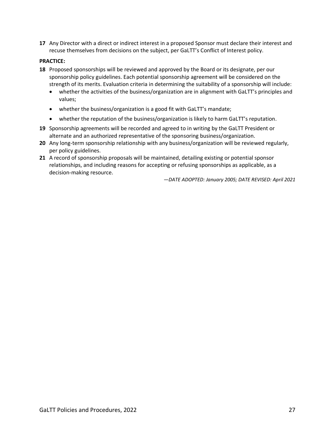**17** Any Director with a direct or indirect interest in a proposed Sponsor must declare their interest and recuse themselves from decisions on the subject, per GaLTT's Conflict of Interest policy.

### **PRACTICE:**

- **18** Proposed sponsorships will be reviewed and approved by the Board or its designate, per our sponsorship policy guidelines. Each potential sponsorship agreement will be considered on the strength of its merits. Evaluation criteria in determining the suitability of a sponsorship will include:
	- whether the activities of the business/organization are in alignment with GaLTT's principles and values;
	- whether the business/organization is a good fit with GaLTT's mandate;
	- whether the reputation of the business/organization is likely to harm GaLTT's reputation.
- **19** Sponsorship agreements will be recorded and agreed to in writing by the GaLTT President or alternate and an authorized representative of the sponsoring business/organization.
- **20** Any long-term sponsorship relationship with any business/organization will be reviewed regularly, per policy guidelines.
- **21** A record of sponsorship proposals will be maintained, detailing existing or potential sponsor relationships, and including reasons for accepting or refusing sponsorships as applicable, as a decision-making resource.

*—DATE ADOPTED: January 2005; DATE REVISED: April 2021*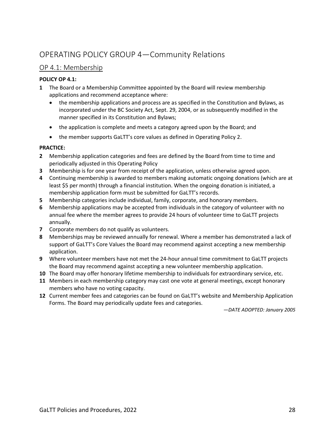# OPERATING POLICY GROUP 4—Community Relations

# OP 4.1: Membership

## **POLICY OP 4.1:**

- **1** The Board or a Membership Committee appointed by the Board will review membership applications and recommend acceptance where:
	- the membership applications and process are as specified in the Constitution and Bylaws, as incorporated under the BC Society Act, Sept. 29, 2004, or as subsequently modified in the manner specified in its Constitution and Bylaws;
	- the application is complete and meets a category agreed upon by the Board; and
	- the member supports GaLTT's core values as defined in Operating Policy 2.

## **PRACTICE:**

- **2** Membership application categories and fees are defined by the Board from time to time and periodically adjusted in this Operating Policy
- **3** Membership is for one year from receipt of the application, unless otherwise agreed upon.
- **4** Continuing membership is awarded to members making automatic ongoing donations (which are at least \$5 per month) through a financial institution. When the ongoing donation is initiated, a membership application form must be submitted for GaLTT's records.
- **5** Membership categories include individual, family, corporate, and honorary members.
- **6** Membership applications may be accepted from individuals in the category of volunteer with no annual fee where the member agrees to provide 24 hours of volunteer time to GaLTT projects annually.
- **7** Corporate members do not qualify as volunteers.
- **8** Memberships may be reviewed annually for renewal. Where a member has demonstrated a lack of support of GaLTT's Core Values the Board may recommend against accepting a new membership application.
- **9** Where volunteer members have not met the 24-hour annual time commitment to GaLTT projects the Board may recommend against accepting a new volunteer membership application.
- **10** The Board may offer honorary lifetime membership to individuals for extraordinary service, etc.
- **11** Members in each membership category may cast one vote at general meetings, except honorary members who have no voting capacity.
- **12** Current member fees and categories can be found on GaLTT's website and Membership Application Forms. The Board may periodically update fees and categories.

*—DATE ADOPTED: January 2005*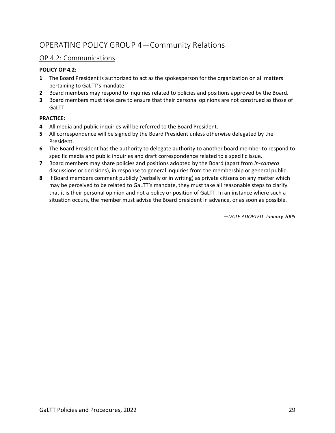# OPERATING POLICY GROUP 4—Community Relations

# OP 4.2: Communications

## **POLICY OP 4.2:**

- **1** The Board President is authorized to act as the spokesperson for the organization on all matters pertaining to GaLTT's mandate.
- **2** Board members may respond to inquiries related to policies and positions approved by the Board.
- **3** Board members must take care to ensure that their personal opinions are not construed as those of GaLTT.

## **PRACTICE:**

- **4** All media and public inquiries will be referred to the Board President.
- **5** All correspondence will be signed by the Board President unless otherwise delegated by the President.
- **6** The Board President has the authority to delegate authority to another board member to respond to specific media and public inquiries and draft correspondence related to a specific issue.
- **7** Board members may share policies and positions adopted by the Board (apart from *in-camera*  discussions or decisions), in response to general inquiries from the membership or general public.
- **8** If Board members comment publicly (verbally or in writing) as private citizens on any matter which may be perceived to be related to GaLTT's mandate, they must take all reasonable steps to clarify that it is their personal opinion and not a policy or position of GaLTT. In an instance where such a situation occurs, the member must advise the Board president in advance, or as soon as possible.

*—DATE ADOPTED: January 2005*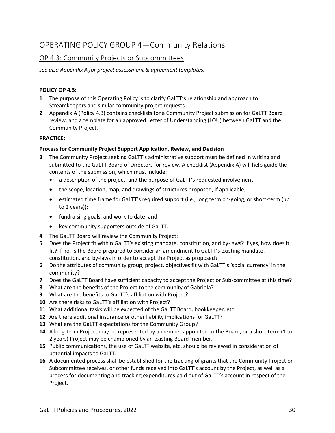# OPERATING POLICY GROUP 4—Community Relations

# OP 4.3: Community Projects or Subcommittees

*see also Appendix A for project assessment & agreement templates.*

### **POLICY OP 4.3:**

- **1** The purpose of this Operating Policy is to clarify GaLTT's relationship and approach to Streamkeepers and similar community project requests.
- **2** Appendix A (Policy 4.3) contains checklists for a Community Project submission for GaLTT Board review, and a template for an approved Letter of Understanding (LOU) between GaLTT and the Community Project.

#### **PRACTICE:**

#### **Process for Community Project Support Application, Review, and Decision**

- **3** The Community Project seeking GaLTT's administrative support must be defined in writing and submitted to the GaLTT Board of Directors for review. A checklist (Appendix A) will help guide the contents of the submission, which must include:
	- a description of the project, and the purpose of GaLTT's requested involvement;
	- the scope, location, map, and drawings of structures proposed, if applicable;
	- estimated time frame for GaLTT's required support (i.e., long term on-going, or short-term (up to 2 years));
	- fundraising goals, and work to date; and
	- key community supporters outside of GaLTT.
- **4** The GaLTT Board will review the Community Project:
- **5** Does the Project fit within GaLTT's existing mandate, constitution, and by-laws? If yes, how does it fit? If no, is the Board prepared to consider an amendment to GaLTT's existing mandate, constitution, and by-laws in order to accept the Project as proposed?
- **6** Do the attributes of community group, project, objectives fit with GaLTT's 'social currency' in the community?
- **7** Does the GaLTT Board have sufficient capacity to accept the Project or Sub-committee at this time?
- **8** What are the benefits of the Project to the community of Gabriola?
- **9** What are the benefits to GaLTT's affiliation with Project?
- **10** Are there risks to GaLTT's affiliation with Project?
- **11** What additional tasks will be expected of the GaLTT Board, bookkeeper, etc.
- **12** Are there additional insurance or other liability implications for GaLTT?
- **13** What are the GaLTT expectations for the Community Group?
- **14** A long-term Project may be represented by a member appointed to the Board, or a short term (1 to 2 years) Project may be championed by an existing Board member.
- **15** Public communications, the use of GaLTT website, etc. should be reviewed in consideration of potential impacts to GaLTT.
- **16** A documented process shall be established for the tracking of grants that the Community Project or Subcommittee receives, or other funds received into GaLTT's account by the Project, as well as a process for documenting and tracking expenditures paid out of GaLTT's account in respect of the Project.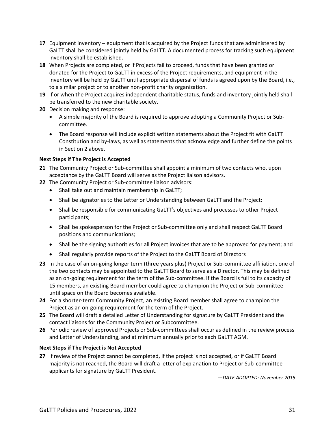- **17** Equipment inventory equipment that is acquired by the Project funds that are administered by GaLTT shall be considered jointly held by GaLTT. A documented process for tracking such equipment inventory shall be established.
- **18** When Projects are completed, or if Projects fail to proceed, funds that have been granted or donated for the Project to GaLTT in excess of the Project requirements, and equipment in the inventory will be held by GaLTT until appropriate dispersal of funds is agreed upon by the Board, i.e., to a similar project or to another non-profit charity organization.
- **19** If or when the Project acquires independent charitable status, funds and inventory jointly held shall be transferred to the new charitable society.
- **20** Decision making and response:
	- A simple majority of the Board is required to approve adopting a Community Project or Subcommittee.
	- The Board response will include explicit written statements about the Project fit with GaLTT Constitution and by-laws, as well as statements that acknowledge and further define the points in Section 2 above.

## **Next Steps if The Project is Accepted**

- **21** The Community Project or Sub-committee shall appoint a minimum of two contacts who, upon acceptance by the GaLTT Board will serve as the Project liaison advisors.
- **22** The Community Project or Sub-committee liaison advisors:
	- Shall take out and maintain membership in GaLTT;
	- Shall be signatories to the Letter or Understanding between GaLTT and the Project;
	- Shall be responsible for communicating GaLTT's objectives and processes to other Project participants;
	- Shall be spokesperson for the Project or Sub-committee only and shall respect GaLTT Board positions and communications;
	- Shall be the signing authorities for all Project invoices that are to be approved for payment; and
	- Shall regularly provide reports of the Project to the GaLTT Board of Directors
- **23** In the case of an on-going longer term (three years plus) Project or Sub-committee affiliation, one of the two contacts may be appointed to the GaLTT Board to serve as a Director. This may be defined as an on-going requirement for the term of the Sub-committee. If the Board is full to its capacity of 15 members, an existing Board member could agree to champion the Project or Sub-committee until space on the Board becomes available.
- **24** For a shorter-term Community Project, an existing Board member shall agree to champion the Project as an on-going requirement for the term of the Project.
- **25** The Board will draft a detailed Letter of Understanding for signature by GaLTT President and the contact liaisons for the Community Project or Subcommittee.
- **26** Periodic review of approved Projects or Sub-committees shall occur as defined in the review process and Letter of Understanding, and at minimum annually prior to each GaLTT AGM.

#### **Next Steps if The Project is Not Accepted**

**27** If review of the Project cannot be completed, if the project is not accepted, or if GaLTT Board majority is not reached, the Board will draft a letter of explanation to Project or Sub-committee applicants for signature by GaLTT President.

*—DATE ADOPTED: November 2015*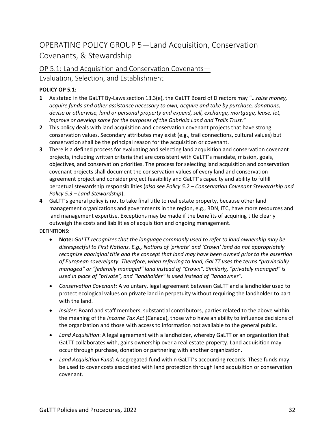# OPERATING POLICY GROUP 5—Land Acquisition, Conservation Covenants, & Stewardship

# OP 5.1: Land Acquisition and Conservation Covenants— Evaluation, Selection, and Establishment

# **POLICY OP 5.1:**

- **1** As stated in the GaLTT By-Laws section 13.3(e), the GaLTT Board of Directors may "…*raise money, acquire funds and other assistance necessary to own, acquire and take by purchase, donations, devise or otherwise, land or personal property and expend, sell, exchange, mortgage, lease, let, improve or develop same for the purposes of the Gabriola Land and Trails Trust."*
- **2** This policy deals with land acquisition and conservation covenant projects that have strong conservation values. Secondary attributes may exist (e.g., trail connections, cultural values) but conservation shall be the principal reason for the acquisition or covenant.
- **3** There is a defined process for evaluating and selecting land acquisition and conservation covenant projects, including written criteria that are consistent with GaLTT's mandate, mission, goals, objectives, and conservation priorities. The process for selecting land acquisition and conservation covenant projects shall document the conservation values of every land and conservation agreement project and consider project feasibility and GaLTT's capacity and ability to fulfill perpetual stewardship responsibilities (*also see Policy 5.2 – Conservation Covenant Stewardship and Policy 5.3 – Land Stewardship*).
- **4** GaLTT's general policy is not to take final title to real estate property, because other land management organizations and governments in the region, e.g., RDN, ITC, have more resources and land management expertise. Exceptions may be made if the benefits of acquiring title clearly outweigh the costs and liabilities of acquisition and ongoing management.

DEFINITIONS:

- **Note:** *GaLTT recognizes that the language commonly used to refer to land ownership may be*  disrespectful to First Nations. E.q., Notions of 'private' and 'Crown' land do not appropriately *recognize aboriginal title and the concept that land may have been owned prior to the assertion of European sovereignty. Therefore, when referring to land, GaLTT uses the terms "provincially managed" or "federally managed" land instead of "Crown". Similarly, "privately managed" is used in place of "private", and "landholder" is used instead of "landowner".*
- *Conservation Covenant:* A voluntary, legal agreement between GaLTT and a landholder used to protect ecological values on private land in perpetuity without requiring the landholder to part with the land.
- *Insider*: Board and staff members, substantial contributors, parties related to the above within the meaning of the *Income Tax Act* (Canada), those who have an ability to influence decisions of the organization and those with access to information not available to the general public.
- *Land Acquisition*: A legal agreement with a landholder, whereby GaLTT or an organization that GaLTT collaborates with, gains ownership over a real estate property. Land acquisition may occur through purchase, donation or partnering with another organization*.*
- *Land Acquisition Fund*: A segregated fund within GaLTT's accounting records. These funds may be used to cover costs associated with land protection through land acquisition or conservation covenant.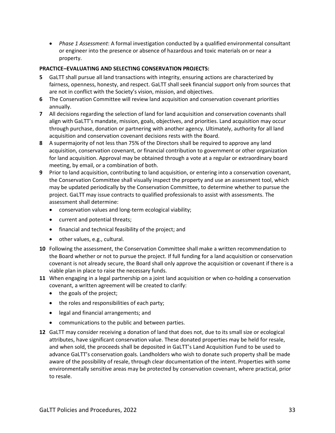• *Phase 1 Assessment*: A formal investigation conducted by a qualified environmental consultant or engineer into the presence or absence of hazardous and toxic materials on or near a property.

### **PRACTICE–EVALUATING AND SELECTING CONSERVATION PROJECTS:**

- **5** GaLTT shall pursue all land transactions with integrity, ensuring actions are characterized by fairness, openness, honesty, and respect. GaLTT shall seek financial support only from sources that are not in conflict with the Society's vision, mission, and objectives.
- **6** The Conservation Committee will review land acquisition and conservation covenant priorities annually.
- **7** All decisions regarding the selection of land for land acquisition and conservation covenants shall align with GaLTT's mandate, mission, goals, objectives, and priorities. Land acquisition may occur through purchase, donation or partnering with another agency. Ultimately, authority for all land acquisition and conservation covenant decisions rests with the Board.
- **8** A supermajority of not less than 75% of the Directors shall be required to approve any land acquisition, conservation covenant, or financial contribution to government or other organization for land acquisition. Approval may be obtained through a vote at a regular or extraordinary board meeting, by email, or a combination of both.
- **9** Prior to land acquisition, contributing to land acquisition, or entering into a conservation covenant, the Conservation Committee shall visually inspect the property and use an assessment tool, which may be updated periodically by the Conservation Committee, to determine whether to pursue the project. GaLTT may issue contracts to qualified professionals to assist with assessments. The assessment shall determine:
	- conservation values and long-term ecological viability;
	- current and potential threats;
	- financial and technical feasibility of the project; and
	- other values, e.g., cultural.
- **10** Following the assessment, the Conservation Committee shall make a written recommendation to the Board whether or not to pursue the project. If full funding for a land acquisition or conservation covenant is not already secure, the Board shall only approve the acquisition or covenant if there is a viable plan in place to raise the necessary funds.
- **11** When engaging in a legal partnership on a joint land acquisition or when co-holding a conservation covenant, a written agreement will be created to clarify:
	- the goals of the project;
	- the roles and responsibilities of each party;
	- legal and financial arrangements; and
	- communications to the public and between parties.
- **12** GaLTT may consider receiving a donation of land that does not, due to its small size or ecological attributes, have significant conservation value. These donated properties may be held for resale, and when sold, the proceeds shall be deposited in GaLTT's Land Acquisition Fund to be used to advance GaLTT's conservation goals. Landholders who wish to donate such property shall be made aware of the possibility of resale, through clear documentation of the intent. Properties with some environmentally sensitive areas may be protected by conservation covenant, where practical, prior to resale.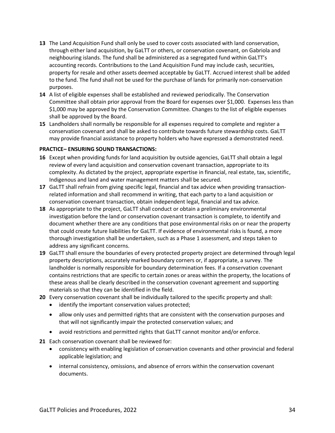- **13** The Land Acquisition Fund shall only be used to cover costs associated with land conservation, through either land acquisition, by GaLTT or others, or conservation covenant, on Gabriola and neighbouring islands. The fund shall be administered as a segregated fund within GaLTT's accounting records. Contributions to the Land Acquisition Fund may include cash, securities, property for resale and other assets deemed acceptable by GaLTT. Accrued interest shall be added to the fund. The fund shall not be used for the purchase of lands for primarily non-conservation purposes.
- **14** A list of eligible expenses shall be established and reviewed periodically. The Conservation Committee shall obtain prior approval from the Board for expenses over \$1,000. Expenses less than \$1,000 may be approved by the Conservation Committee. Changes to the list of eligible expenses shall be approved by the Board.
- **15** Landholders shall normally be responsible for all expenses required to complete and register a conservation covenant and shall be asked to contribute towards future stewardship costs. GaLTT may provide financial assistance to property holders who have expressed a demonstrated need.

#### **PRACTICE– ENSURING SOUND TRANSACTIONS:**

- **16** Except when providing funds for land acquisition by outside agencies, GaLTT shall obtain a legal review of every land acquisition and conservation covenant transaction, appropriate to its complexity. As dictated by the project, appropriate expertise in financial, real estate, tax, scientific, Indigenous and land and water management matters shall be secured.
- **17** GaLTT shall refrain from giving specific legal, financial and tax advice when providing transactionrelated information and shall recommend in writing, that each party to a land acquisition or conservation covenant transaction, obtain independent legal, financial and tax advice.
- **18** As appropriate to the project, GaLTT shall conduct or obtain a preliminary environmental investigation before the land or conservation covenant transaction is complete, to identify and document whether there are any conditions that pose environmental risks on or near the property that could create future liabilities for GaLTT. If evidence of environmental risks is found, a more thorough investigation shall be undertaken, such as a Phase 1 assessment, and steps taken to address any significant concerns.
- **19** GaLTT shall ensure the boundaries of every protected property project are determined through legal property descriptions, accurately marked boundary corners or, if appropriate, a survey. The landholder is normally responsible for boundary determination fees. If a conservation covenant contains restrictions that are specific to certain zones or areas within the property, the locations of these areas shall be clearly described in the conservation covenant agreement and supporting materials so that they can be identified in the field.
- **20** Every conservation covenant shall be individually tailored to the specific property and shall:
	- identify the important conservation values protected;
	- allow only uses and permitted rights that are consistent with the conservation purposes and that will not significantly impair the protected conservation values; and
	- avoid restrictions and permitted rights that GaLTT cannot monitor and/or enforce.
- **21** Each conservation covenant shall be reviewed for:
	- consistency with enabling legislation of conservation covenants and other provincial and federal applicable legislation; and
	- internal consistency, omissions, and absence of errors within the conservation covenant documents.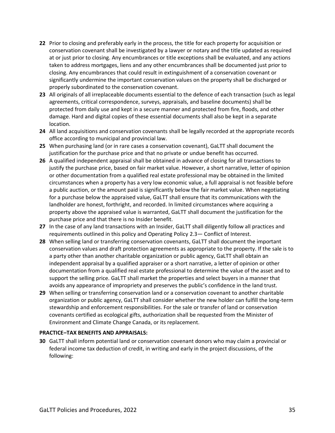- **22** Prior to closing and preferably early in the process, the title for each property for acquisition or conservation covenant shall be investigated by a lawyer or notary and the title updated as required at or just prior to closing. Any encumbrances or title exceptions shall be evaluated, and any actions taken to address mortgages, liens and any other encumbrances shall be documented just prior to closing. Any encumbrances that could result in extinguishment of a conservation covenant or significantly undermine the important conservation values on the property shall be discharged or properly subordinated to the conservation covenant.
- **23** All originals of all irreplaceable documents essential to the defence of each transaction (such as legal agreements, critical correspondence, surveys, appraisals, and baseline documents) shall be protected from daily use and kept in a secure manner and protected from fire, floods, and other damage. Hard and digital copies of these essential documents shall also be kept in a separate location.
- **24** All land acquisitions and conservation covenants shall be legally recorded at the appropriate records office according to municipal and provincial law.
- **25** When purchasing land (or in rare cases a conservation covenant), GaLTT shall document the justification for the purchase price and that no private or undue benefit has occurred.
- **26** A qualified independent appraisal shall be obtained in advance of closing for all transactions to justify the purchase price, based on fair market value. However, a short narrative, letter of opinion or other documentation from a qualified real estate professional may be obtained in the limited circumstances when a property has a very low economic value, a full appraisal is not feasible before a public auction, or the amount paid is significantly below the fair market value. When negotiating for a purchase below the appraised value, GaLTT shall ensure that its communications with the landholder are honest, forthright, and recorded. In limited circumstances where acquiring a property above the appraised value is warranted, GaLTT shall document the justification for the purchase price and that there is no Insider benefit.
- **27** In the case of any land transactions with an Insider, GaLTT shall diligently follow all practices and requirements outlined in this policy and Operating Policy 2.3— Conflict of Interest.
- **28** When selling land or transferring conservation covenants, GaLTT shall document the important conservation values and draft protection agreements as appropriate to the property. If the sale is to a party other than another charitable organization or public agency, GaLTT shall obtain an independent appraisal by a qualified appraiser or a short narrative, a letter of opinion or other documentation from a qualified real estate professional to determine the value of the asset and to support the selling price. GaLTT shall market the properties and select buyers in a manner that avoids any appearance of impropriety and preserves the public's confidence in the land trust.
- **29** When selling or transferring conservation land or a conservation covenant to another charitable organization or public agency, GaLTT shall consider whether the new holder can fulfill the long-term stewardship and enforcement responsibilities. For the sale or transfer of land or conservation covenants certified as ecological gifts, authorization shall be requested from the Minister of Environment and Climate Change Canada, or its replacement.

#### **PRACTICE–TAX BENEFITS AND APPRAISALS:**

**30** GaLTT shall inform potential land or conservation covenant donors who may claim a provincial or federal income tax deduction of credit, in writing and early in the project discussions, of the following: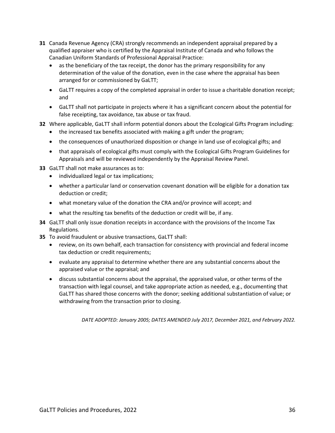- **31** Canada Revenue Agency (CRA) strongly recommends an independent appraisal prepared by a qualified appraiser who is certified by the Appraisal Institute of Canada and who follows the Canadian Uniform Standards of Professional Appraisal Practice:
	- as the beneficiary of the tax receipt, the donor has the primary responsibility for any determination of the value of the donation, even in the case where the appraisal has been arranged for or commissioned by GaLTT;
	- GaLTT requires a copy of the completed appraisal in order to issue a charitable donation receipt; and
	- GaLTT shall not participate in projects where it has a significant concern about the potential for false receipting, tax avoidance, tax abuse or tax fraud.
- **32** Where applicable, GaLTT shall inform potential donors about the Ecological Gifts Program including:
	- the increased tax benefits associated with making a gift under the program;
	- the consequences of unauthorized disposition or change in land use of ecological gifts; and
	- that appraisals of ecological gifts must comply with the Ecological Gifts Program Guidelines for Appraisals and will be reviewed independently by the Appraisal Review Panel.

**33** GaLTT shall not make assurances as to:

- individualized legal or tax implications;
- whether a particular land or conservation covenant donation will be eligible for a donation tax deduction or credit;
- what monetary value of the donation the CRA and/or province will accept; and
- what the resulting tax benefits of the deduction or credit will be, if any.
- **34** GaLTT shall only issue donation receipts in accordance with the provisions of the Income Tax Regulations.
- **35** To avoid fraudulent or abusive transactions, GaLTT shall:
	- review, on its own behalf, each transaction for consistency with provincial and federal income tax deduction or credit requirements;
	- evaluate any appraisal to determine whether there are any substantial concerns about the appraised value or the appraisal; and
	- discuss substantial concerns about the appraisal, the appraised value, or other terms of the transaction with legal counsel, and take appropriate action as needed, e.g., documenting that GaLTT has shared those concerns with the donor; seeking additional substantiation of value; or withdrawing from the transaction prior to closing.

*DATE ADOPTED: January 2005; DATES AMENDED July 2017, December 2021, and February 2022.*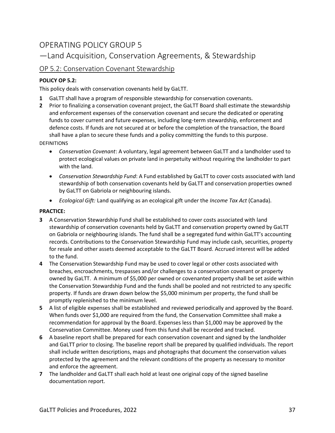# OPERATING POLICY GROUP 5

—Land Acquisition, Conservation Agreements, & Stewardship

# OP 5.2: Conservation Covenant Stewardship

# **POLICY OP 5.2:**

This policy deals with conservation covenants held by GaLTT.

- **1** GaLTT shall have a program of responsible stewardship for conservation covenants.
- **2** Prior to finalizing a conservation covenant project, the GaLTT Board shall estimate the stewardship and enforcement expenses of the conservation covenant and secure the dedicated or operating funds to cover current and future expenses, including long-term stewardship, enforcement and defence costs. If funds are not secured at or before the completion of the transaction, the Board shall have a plan to secure these funds and a policy committing the funds to this purpose.

DEFINITIONS

- *Conservation Covenant*: A voluntary, legal agreement between GaLTT and a landholder used to protect ecological values on private land in perpetuity without requiring the landholder to part with the land.
- *Conservation Stewardship Fund*: A Fund established by GaLTT to cover costs associated with land stewardship of both conservation covenants held by GaLTT and conservation properties owned by GaLTT on Gabriola or neighbouring islands.
- *Ecological Gift:* Land qualifying as an ecological gift under the *Income Tax Act* (Canada).

## **PRACTICE:**

- **3** A Conservation Stewardship Fund shall be established to cover costs associated with land stewardship of conservation covenants held by GaLTT and conservation property owned by GaLTT on Gabriola or neighbouring islands. The fund shall be a segregated fund within GaLTT's accounting records. Contributions to the Conservation Stewardship Fund may include cash, securities, property for resale and other assets deemed acceptable to the GaLTT Board. Accrued interest will be added to the fund.
- **4** The Conservation Stewardship Fund may be used to cover legal or other costs associated with breaches, encroachments, trespasses and/or challenges to a conservation covenant or property owned by GaLTT. A minimum of \$5,000 per owned or covenanted property shall be set aside within the Conservation Stewardship Fund and the funds shall be pooled and not restricted to any specific property. If funds are drawn down below the \$5,000 minimum per property, the fund shall be promptly replenished to the minimum level.
- **5** A list of eligible expenses shall be established and reviewed periodically and approved by the Board. When funds over \$1,000 are required from the fund, the Conservation Committee shall make a recommendation for approval by the Board. Expenses less than \$1,000 may be approved by the Conservation Committee. Money used from this fund shall be recorded and tracked.
- **6** A baseline report shall be prepared for each conservation covenant and signed by the landholder and GaLTT prior to closing. The baseline report shall be prepared by qualified individuals. The report shall include written descriptions, maps and photographs that document the conservation values protected by the agreement and the relevant conditions of the property as necessary to monitor and enforce the agreement.
- **7** The landholder and GaLTT shall each hold at least one original copy of the signed baseline documentation report.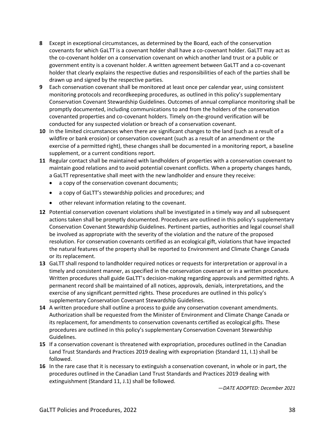- **8** Except in exceptional circumstances, as determined by the Board, each of the conservation covenants for which GaLTT is a covenant holder shall have a co-covenant holder. GaLTT may act as the co-covenant holder on a conservation covenant on which another land trust or a public or government entity is a covenant holder. A written agreement between GaLTT and a co-covenant holder that clearly explains the respective duties and responsibilities of each of the parties shall be drawn up and signed by the respective parties.
- **9** Each conservation covenant shall be monitored at least once per calendar year, using consistent monitoring protocols and recordkeeping procedures, as outlined in this policy's supplementary Conservation Covenant Stewardship Guidelines. Outcomes of annual compliance monitoring shall be promptly documented, including communications to and from the holders of the conservation covenanted properties and co-covenant holders. Timely on-the-ground verification will be conducted for any suspected violation or breach of a conservation covenant.
- **10** In the limited circumstances when there are significant changes to the land (such as a result of a wildfire or bank erosion) or conservation covenant (such as a result of an amendment or the exercise of a permitted right), these changes shall be documented in a monitoring report, a baseline supplement, or a current conditions report.
- **11** Regular contact shall be maintained with landholders of properties with a conservation covenant to maintain good relations and to avoid potential covenant conflicts. When a property changes hands, a GaLTT representative shall meet with the new landholder and ensure they receive:
	- a copy of the conservation covenant documents;
	- a copy of GaLTT's stewardship policies and procedures; and
	- other relevant information relating to the covenant.
- **12** Potential conservation covenant violations shall be investigated in a timely way and all subsequent actions taken shall be promptly documented. Procedures are outlined in this policy's supplementary Conservation Covenant Stewardship Guidelines. Pertinent parties, authorities and legal counsel shall be involved as appropriate with the severity of the violation and the nature of the proposed resolution. For conservation covenants certified as an ecological gift, violations that have impacted the natural features of the property shall be reported to Environment and Climate Change Canada or its replacement.
- **13** GaLTT shall respond to landholder required notices or requests for interpretation or approval in a timely and consistent manner, as specified in the conservation covenant or in a written procedure. Written procedures shall guide GaLTT's decision-making regarding approvals and permitted rights. A permanent record shall be maintained of all notices, approvals, denials, interpretations, and the exercise of any significant permitted rights. These procedures are outlined in this policy's supplementary Conservation Covenant Stewardship Guidelines.
- **14** A written procedure shall outline a process to guide any conservation covenant amendments. Authorization shall be requested from the Minister of Environment and Climate Change Canada or its replacement, for amendments to conservation covenants certified as ecological gifts. These procedures are outlined in this policy's supplementary Conservation Covenant Stewardship Guidelines.
- **15** If a conservation covenant is threatened with expropriation, procedures outlined in the Canadian Land Trust Standards and Practices 2019 dealing with expropriation (Standard 11, I.1) shall be followed.
- **16** In the rare case that it is necessary to extinguish a conservation covenant, in whole or in part, the procedures outlined in the Canadian Land Trust Standards and Practices 2019 dealing with extinguishment (Standard 11, J.1) shall be followed.

*—DATE ADOPTED: December 2021*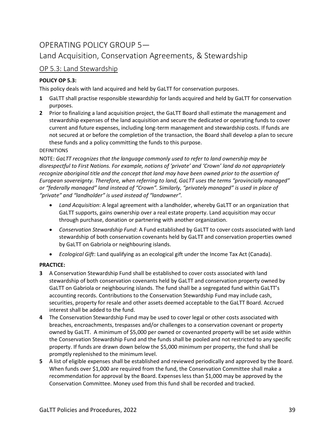# OPERATING POLICY GROUP 5—

# Land Acquisition, Conservation Agreements, & Stewardship

# OP 5.3: Land Stewardship

# **POLICY OP 5.3:**

This policy deals with land acquired and held by GaLTT for conservation purposes.

- **1** GaLTT shall practise responsible stewardship for lands acquired and held by GaLTT for conservation purposes.
- **2** Prior to finalizing a land acquisition project, the GaLTT Board shall estimate the management and stewardship expenses of the land acquisition and secure the dedicated or operating funds to cover current and future expenses, including long-term management and stewardship costs. If funds are not secured at or before the completion of the transaction, the Board shall develop a plan to secure these funds and a policy committing the funds to this purpose.

## DEFINITIONS

NOTE: *GaLTT recognizes that the language commonly used to refer to land ownership may be disrespectful to First Nations. For example, notions of 'private' and 'Crown' land do not appropriately recognize aboriginal title and the concept that land may have been owned prior to the assertion of European sovereignty. Therefore, when referring to land, GaLTT uses the terms "provincially managed" or "federally managed" land instead of "Crown". Similarly, "privately managed" is used in place of "private" and "landholder" is used instead of "landowner".*

- *Land Acquisition*: A legal agreement with a landholder, whereby GaLTT or an organization that GaLTT supports, gains ownership over a real estate property. Land acquisition may occur through purchase, donation or partnering with another organization.
- *Conservation Stewardship Fund*: A Fund established by GaLTT to cover costs associated with land stewardship of both conservation covenants held by GaLTT and conservation properties owned by GaLTT on Gabriola or neighbouring islands.
- *Ecological Gift*: Land qualifying as an ecological gift under the Income Tax Act (Canada).

## **PRACTICE:**

- **3** A Conservation Stewardship Fund shall be established to cover costs associated with land stewardship of both conservation covenants held by GaLTT and conservation property owned by GaLTT on Gabriola or neighbouring islands. The fund shall be a segregated fund within GaLTT's accounting records. Contributions to the Conservation Stewardship Fund may include cash, securities, property for resale and other assets deemed acceptable to the GaLTT Board. Accrued interest shall be added to the fund.
- **4** The Conservation Stewardship Fund may be used to cover legal or other costs associated with breaches, encroachments, trespasses and/or challenges to a conservation covenant or property owned by GaLTT. A minimum of \$5,000 per owned or covenanted property will be set aside within the Conservation Stewardship Fund and the funds shall be pooled and not restricted to any specific property. If funds are drawn down below the \$5,000 minimum per property, the fund shall be promptly replenished to the minimum level.
- **5** A list of eligible expenses shall be established and reviewed periodically and approved by the Board. When funds over \$1,000 are required from the fund, the Conservation Committee shall make a recommendation for approval by the Board. Expenses less than \$1,000 may be approved by the Conservation Committee. Money used from this fund shall be recorded and tracked.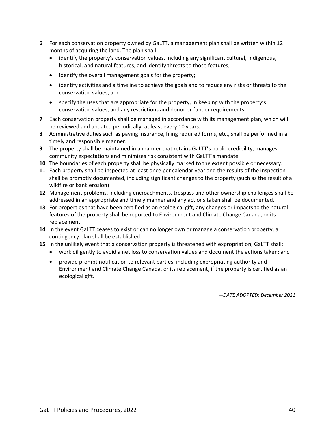- **6** For each conservation property owned by GaLTT, a management plan shall be written within 12 months of acquiring the land. The plan shall:
	- identify the property's conservation values, including any significant cultural, Indigenous, historical, and natural features, and identify threats to those features;
	- identify the overall management goals for the property;
	- identify activities and a timeline to achieve the goals and to reduce any risks or threats to the conservation values; and
	- specify the uses that are appropriate for the property, in keeping with the property's conservation values, and any restrictions and donor or funder requirements.
- **7** Each conservation property shall be managed in accordance with its management plan, which will be reviewed and updated periodically, at least every 10 years.
- **8** Administrative duties such as paying insurance, filing required forms, etc., shall be performed in a timely and responsible manner.
- **9** The property shall be maintained in a manner that retains GaLTT's public credibility, manages community expectations and minimizes risk consistent with GaLTT's mandate.
- **10** The boundaries of each property shall be physically marked to the extent possible or necessary.
- **11** Each property shall be inspected at least once per calendar year and the results of the inspection shall be promptly documented, including significant changes to the property (such as the result of a wildfire or bank erosion)
- **12** Management problems, including encroachments, trespass and other ownership challenges shall be addressed in an appropriate and timely manner and any actions taken shall be documented.
- **13** For properties that have been certified as an ecological gift, any changes or impacts to the natural features of the property shall be reported to Environment and Climate Change Canada, or its replacement.
- **14** In the event GaLTT ceases to exist or can no longer own or manage a conservation property, a contingency plan shall be established.
- **15** In the unlikely event that a conservation property is threatened with expropriation, GaLTT shall:
	- work diligently to avoid a net loss to conservation values and document the actions taken; and
	- provide prompt notification to relevant parties, including expropriating authority and Environment and Climate Change Canada, or its replacement, if the property is certified as an ecological gift.

*—DATE ADOPTED: December 2021*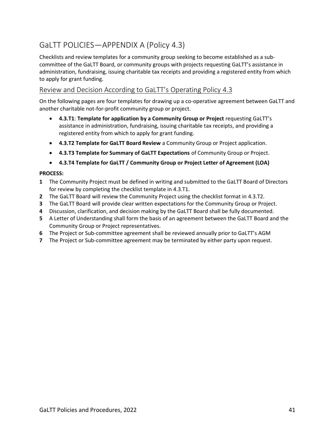# GaLTT POLICIES—APPENDIX A (Policy 4.3)

Checklists and review templates for a community group seeking to become established as a subcommittee of the GaLTT Board, or community groups with projects requesting GaLTT's assistance in administration, fundraising, issuing charitable tax receipts and providing a registered entity from which to apply for grant funding.

# Review and Decision According to GaLTT's Operating Policy 4.3

On the following pages are four templates for drawing up a co-operative agreement between GaLTT and another charitable not-for-profit community group or project.

- **4.3.T1**: **Template for application by a Community Group or Project** requesting GaLTT's assistance in administration, fundraising, issuing charitable tax receipts, and providing a registered entity from which to apply for grant funding.
- **4.3.T2 Template for GaLTT Board Review** a Community Group or Project application.
- **4.3.T3 Template for Summary of GaLTT Expectations** of Community Group or Project.
- **4.3.T4 Template for GaLTT / Community Group or Project Letter of Agreement (LOA)**

### **PROCESS:**

- **1** The Community Project must be defined in writing and submitted to the GaLTT Board of Directors for review by completing the checklist template in 4.3.T1.
- **2** The GaLTT Board will review the Community Project using the checklist format in 4.3.T2.
- **3** The GaLTT Board will provide clear written expectations for the Community Group or Project.
- **4** Discussion, clarification, and decision making by the GaLTT Board shall be fully documented.
- **5** A Letter of Understanding shall form the basis of an agreement between the GaLTT Board and the Community Group or Project representatives.
- **6** The Project or Sub-committee agreement shall be reviewed annually prior to GaLTT's AGM
- **7** The Project or Sub-committee agreement may be terminated by either party upon request.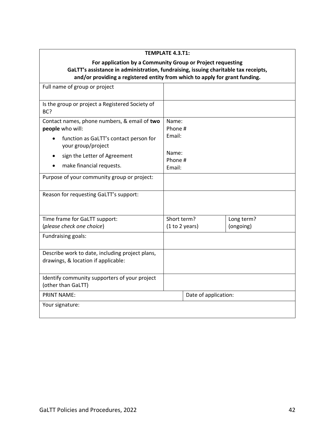| <b>TEMPLATE 4.3.T1:</b>                                                                                                                                                                                                          |                               |                      |                         |  |  |  |
|----------------------------------------------------------------------------------------------------------------------------------------------------------------------------------------------------------------------------------|-------------------------------|----------------------|-------------------------|--|--|--|
| For application by a Community Group or Project requesting<br>GaLTT's assistance in administration, fundraising, issuing charitable tax receipts,<br>and/or providing a registered entity from which to apply for grant funding. |                               |                      |                         |  |  |  |
| Full name of group or project                                                                                                                                                                                                    |                               |                      |                         |  |  |  |
| Is the group or project a Registered Society of<br>BC?                                                                                                                                                                           |                               |                      |                         |  |  |  |
| Contact names, phone numbers, & email of two<br>people who will:<br>function as GaLTT's contact person for                                                                                                                       | Name:<br>Email:               | Phone #              |                         |  |  |  |
| your group/project<br>sign the Letter of Agreement<br>make financial requests.                                                                                                                                                   | Name:<br>Phone #<br>Email:    |                      |                         |  |  |  |
| Purpose of your community group or project:                                                                                                                                                                                      |                               |                      |                         |  |  |  |
| Reason for requesting GaLTT's support:                                                                                                                                                                                           |                               |                      |                         |  |  |  |
| Time frame for GaLTT support:<br>(please check one choice)                                                                                                                                                                       | Short term?<br>(1 to 2 years) |                      | Long term?<br>(ongoing) |  |  |  |
| Fundraising goals:                                                                                                                                                                                                               |                               |                      |                         |  |  |  |
| Describe work to date, including project plans,<br>drawings, & location if applicable:                                                                                                                                           |                               |                      |                         |  |  |  |
| Identify community supporters of your project<br>(other than GaLTT)                                                                                                                                                              |                               |                      |                         |  |  |  |
| <b>PRINT NAME:</b>                                                                                                                                                                                                               |                               | Date of application: |                         |  |  |  |
| Your signature:                                                                                                                                                                                                                  |                               |                      |                         |  |  |  |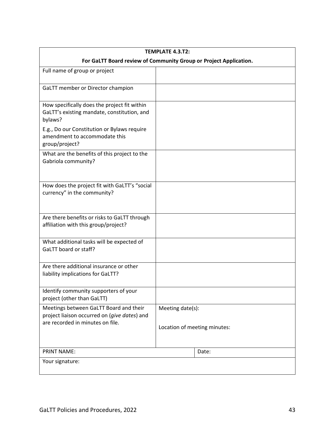| <b>TEMPLATE 4.3.T2:</b>                                                                                                    |                              |  |  |  |
|----------------------------------------------------------------------------------------------------------------------------|------------------------------|--|--|--|
| For GaLTT Board review of Community Group or Project Application.                                                          |                              |  |  |  |
| Full name of group or project                                                                                              |                              |  |  |  |
| GaLTT member or Director champion                                                                                          |                              |  |  |  |
| How specifically does the project fit within<br>GaLTT's existing mandate, constitution, and<br>bylaws?                     |                              |  |  |  |
| E.g., Do our Constitution or Bylaws require<br>amendment to accommodate this<br>group/project?                             |                              |  |  |  |
| What are the benefits of this project to the<br>Gabriola community?                                                        |                              |  |  |  |
| How does the project fit with GaLTT's "social<br>currency" in the community?                                               |                              |  |  |  |
| Are there benefits or risks to GaLTT through<br>affiliation with this group/project?                                       |                              |  |  |  |
| What additional tasks will be expected of<br>GaLTT board or staff?                                                         |                              |  |  |  |
| Are there additional insurance or other<br>liability implications for GaLTT?                                               |                              |  |  |  |
| Identify community supporters of your<br>project (other than GaLTT)                                                        |                              |  |  |  |
| Meetings between GaLTT Board and their<br>project liaison occurred on (give dates) and<br>are recorded in minutes on file. | Meeting date(s):             |  |  |  |
|                                                                                                                            | Location of meeting minutes: |  |  |  |
| <b>PRINT NAME:</b>                                                                                                         | Date:                        |  |  |  |
| Your signature:                                                                                                            |                              |  |  |  |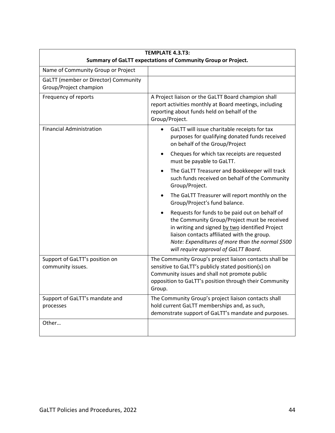| <b>TEMPLATE 4.3.T3:</b><br>Summary of GaLTT expectations of Community Group or Project. |                                                                                                                                                                                                                                                                                                            |  |  |  |
|-----------------------------------------------------------------------------------------|------------------------------------------------------------------------------------------------------------------------------------------------------------------------------------------------------------------------------------------------------------------------------------------------------------|--|--|--|
| Name of Community Group or Project                                                      |                                                                                                                                                                                                                                                                                                            |  |  |  |
| GaLTT (member or Director) Community<br>Group/Project champion                          |                                                                                                                                                                                                                                                                                                            |  |  |  |
| Frequency of reports                                                                    | A Project liaison or the GaLTT Board champion shall<br>report activities monthly at Board meetings, including<br>reporting about funds held on behalf of the<br>Group/Project.                                                                                                                             |  |  |  |
| <b>Financial Administration</b>                                                         | GaLTT will issue charitable receipts for tax<br>$\bullet$<br>purposes for qualifying donated funds received<br>on behalf of the Group/Project                                                                                                                                                              |  |  |  |
|                                                                                         | Cheques for which tax receipts are requested<br>٠<br>must be payable to GaLTT.                                                                                                                                                                                                                             |  |  |  |
|                                                                                         | The GaLTT Treasurer and Bookkeeper will track<br>$\bullet$<br>such funds received on behalf of the Community<br>Group/Project.                                                                                                                                                                             |  |  |  |
|                                                                                         | The GaLTT Treasurer will report monthly on the<br>$\bullet$<br>Group/Project's fund balance.                                                                                                                                                                                                               |  |  |  |
|                                                                                         | Requests for funds to be paid out on behalf of<br>$\bullet$<br>the Community Group/Project must be received<br>in writing and signed by two identified Project<br>liaison contacts affiliated with the group.<br>Note: Expenditures of more than the normal \$500<br>will require approval of GaLTT Board. |  |  |  |
| Support of GaLTT's position on<br>community issues.                                     | The Community Group's project liaison contacts shall be<br>sensitive to GaLTT's publicly stated position(s) on<br>Community issues and shall not promote public<br>opposition to GaLTT's position through their Community<br>Group.                                                                        |  |  |  |
| Support of GaLTT's mandate and<br>processes                                             | The Community Group's project liaison contacts shall<br>hold current GaLTT memberships and, as such,<br>demonstrate support of GaLTT's mandate and purposes.                                                                                                                                               |  |  |  |
| Other                                                                                   |                                                                                                                                                                                                                                                                                                            |  |  |  |

 $\mathbf{r}$ 

 $\overline{\phantom{0}}$